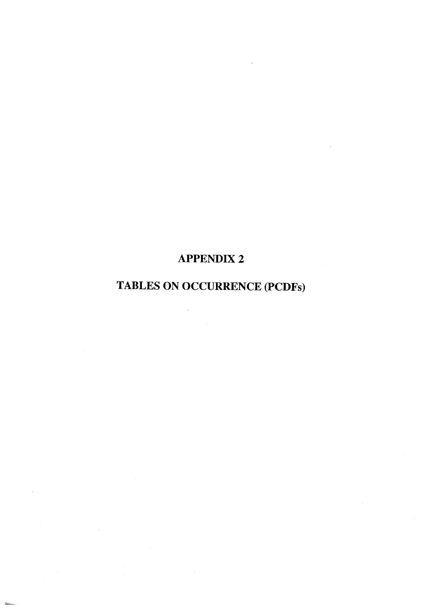## **APPENDIX 2**

# **TABLES ON OCCURRENCE (PCDFs)**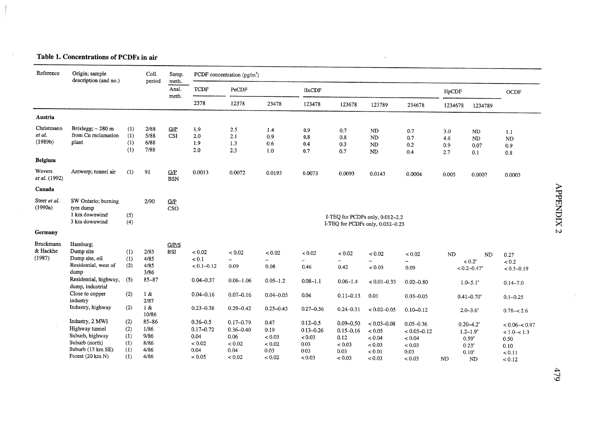## Table 1. Concentrations of PCDFs in air

 $\sim$ 

 $\sim 10^7$ 

| Reference                       | Origin; sample<br>description (and no.)                                                                                   |                                        |                                                   | Samp.<br>meth.      |                                                                   | PCDF concentration (pg/m <sup>3</sup> )                            |                                                    |                                                                   |                                                                    |                                                                      |                                                                        |                          |                                                                                                         |                                                                          |
|---------------------------------|---------------------------------------------------------------------------------------------------------------------------|----------------------------------------|---------------------------------------------------|---------------------|-------------------------------------------------------------------|--------------------------------------------------------------------|----------------------------------------------------|-------------------------------------------------------------------|--------------------------------------------------------------------|----------------------------------------------------------------------|------------------------------------------------------------------------|--------------------------|---------------------------------------------------------------------------------------------------------|--------------------------------------------------------------------------|
|                                 |                                                                                                                           |                                        | period                                            | Anal.<br>meth.      | <b>TCDF</b>                                                       | PeCDF                                                              |                                                    | <b>HxCDF</b>                                                      |                                                                    |                                                                      |                                                                        | HpCDF                    |                                                                                                         | <b>OCDF</b>                                                              |
|                                 |                                                                                                                           |                                        |                                                   |                     | 2378                                                              | 12378                                                              | 23478                                              | 123478                                                            | 123678                                                             | 123789                                                               | 234678                                                                 | 1234678                  | 1234789                                                                                                 |                                                                          |
| Austria                         |                                                                                                                           |                                        |                                                   |                     |                                                                   |                                                                    |                                                    |                                                                   |                                                                    |                                                                      |                                                                        |                          |                                                                                                         |                                                                          |
| Christmann<br>et al.<br>(1989b) | Brixlegg; $\sim$ 280 m<br>from Cu reclamation<br>plant                                                                    | (1)<br>(1)<br>(1)<br>(1)               | 2/88<br>5/88<br>6/88<br>7/88                      | G/P<br><b>CSI</b>   | 1.9<br>2.0<br>1.9<br>2.0                                          | 2.5<br>2.1<br>1.3<br>2.3                                           | 1.4<br>0.9<br>0.6<br>1.0                           | 0.9<br>0.8<br>0.4<br>0.7                                          | 0.7<br>0.8<br>0.3<br>0.7                                           | ND<br>ND<br>ND<br>ND                                                 | 0.7<br>0.7<br>0.2<br>0.4                                               | 3.0<br>4.6<br>0.9<br>2.7 | ND<br>N <sub>D</sub><br>0.07<br>0.1                                                                     | 1.1<br><b>ND</b><br>0.9<br>0.8                                           |
| <b>Belgium</b>                  |                                                                                                                           |                                        |                                                   |                     |                                                                   |                                                                    |                                                    |                                                                   |                                                                    |                                                                      |                                                                        |                          |                                                                                                         |                                                                          |
| Wevers<br>et al. (1992)         | Antwerp; tunnel air                                                                                                       | (1)                                    | 91                                                | G/P<br><b>BSN</b>   | 0.0013                                                            | 0.0072                                                             | 0.0193                                             | 0.0073                                                            | 0.0093                                                             | 0.0143                                                               | 0.0004                                                                 | 0.005                    | 0.0007                                                                                                  | 0.0003                                                                   |
| Canada                          |                                                                                                                           |                                        |                                                   |                     |                                                                   |                                                                    |                                                    |                                                                   |                                                                    |                                                                      |                                                                        |                          |                                                                                                         |                                                                          |
| Steer et al.<br>(1990a)         | SW Ontario; burning<br>tyre dump<br>1 km downwind<br>3 km downwind                                                        | (5)<br>(4)                             | 2/90                                              | <b>G/P</b><br>CSO   |                                                                   |                                                                    |                                                    |                                                                   |                                                                    | I-TEQ for PCDFs only, 0.012-2.2<br>I-TEQ for PCDFs only, 0.032--0.23 |                                                                        |                          |                                                                                                         |                                                                          |
| Germany                         |                                                                                                                           |                                        |                                                   |                     |                                                                   |                                                                    |                                                    |                                                                   |                                                                    |                                                                      |                                                                        |                          |                                                                                                         |                                                                          |
| Bruckmann<br>& Hackhe<br>(1987) | Hamburg;<br>Dump site<br>Dump site, oil<br>Residential, west of<br>dump                                                   | (1)<br>(1)<br>(2)                      | 2/85<br>4/85<br>4/85<br>3/86                      | G/P/S<br><b>BSI</b> | < 0.02<br>< 0.1<br>$< 0.1 - 0.12$                                 | < 0.02<br>$\overline{\phantom{a}}$<br>0.09                         | < 0.02<br>$\overline{\phantom{a}}$<br>0.08         | < 0.02<br>$\overline{\phantom{0}}$<br>0.46                        | < 0.02<br>0.42                                                     | < 0.02<br>< 0.03                                                     | < 0.02<br>0.09                                                         | <b>ND</b>                | $\rm ND$<br>$< 0.2^{\circ}$<br>$< 0.2 - 0.47$ <sup>a</sup>                                              | 0.27<br>< 0.2<br>$< 0.3 - 0.19$                                          |
|                                 | Residential, highway,<br>dump, industrial                                                                                 | (5)                                    | $85 - 87$                                         |                     | $0.04 - 0.37$                                                     | $0.06 - 1.06$                                                      | $0.05 - 1.2$                                       | $0.08 - 1.1$                                                      | $0.06 - 1.4$                                                       | $< 0.01 - 0.33$                                                      | $0.02 - 0.80$                                                          |                          | $1.0 - 5.1$                                                                                             | $0.14 - 7.0$                                                             |
|                                 | Close to copper<br>industry                                                                                               | (2)                                    | 1 &<br>2/87                                       |                     | $0.04 - 0.16$                                                     | $0.07 - 0.16$                                                      | $0.04 - 0.05$                                      | 0.04                                                              | $0.11 - 0.13$                                                      | 0.01                                                                 | $0.03 - 0.05$                                                          |                          | $0.41 - 0.70$                                                                                           | $0.1 - 0.25$                                                             |
|                                 | Industry, highway                                                                                                         | (2)                                    | 1 &<br>10/86                                      |                     | $0.23 - 0.38$                                                     | $0.29 - 0.42$                                                      | $0.25 - 0.43$                                      | $0.27 - 0.36$                                                     | $0.24 - 0.31$                                                      | $< 0.02 - 0.05$                                                      | $0.10 - 0.12$                                                          |                          | $2.0 - 3.6$                                                                                             | $0.78 - 2.6$                                                             |
|                                 | Industry, 2 MWI<br>Highway tunnel<br>Suburb, highway<br>Suburb (north)<br>Suburb (13 km SE)<br>Forest $(20 \text{ km N})$ | (2)<br>(2)<br>(1)<br>(1)<br>(1)<br>(1) | $85 - 86$<br>1/86<br>9/86<br>8/86<br>4/86<br>4/86 |                     | $0.36 - 0.5$<br>$0.17 - 0.72$<br>0.04<br>< 0.02<br>0.04<br>< 0.05 | $0.17 - 0.79$<br>$0.36 - 0.40$<br>0.06<br>< 0.02<br>0.04<br>< 0.02 | 0.47<br>0.19<br>< 0.03<br>< 0.02<br>0.03<br>< 0.02 | $0.12 - 0.5$<br>$0.13 - 0.26$<br>< 0.03<br>0.03<br>0.03<br>< 0.03 | $0.09 - 0.50$<br>$0.15 - 0.16$<br>0.12<br>< 0.03<br>0.03<br>< 0.03 | $< 0.03 - 0.08$<br>< 0.05<br>< 0.04<br>< 0.03<br>< 0.01<br>< 0.03    | $0.05 - 0.36$<br>$< 0.05 - 0.12$<br>< 0.04<br>< 0.03<br>0.03<br>< 0.03 | ND                       | $0.20 - 4.2^{\circ}$<br>$1.2 - 1.9^a$<br>$0.59^{a}$<br>$0.23^{\circ}$<br>0.10 <sup>o</sup><br><b>ND</b> | $< 0.06 - < 0.97$<br>$< 1.0 - < 1.3$<br>0.50<br>0.10<br>< 0.11<br>< 0.12 |

 $\sim$   $\sim$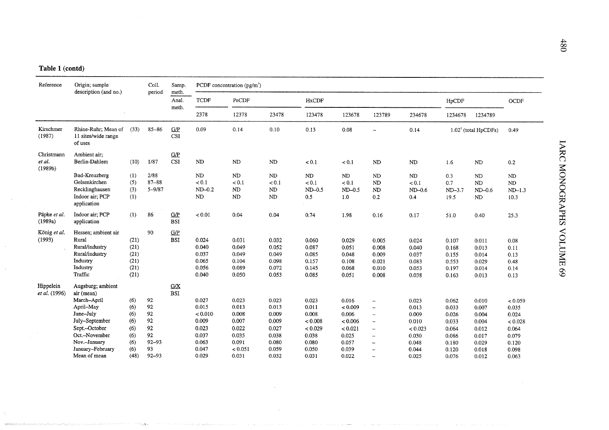| Reference                       | Origin; sample<br>description (and no.)                                                                                                                                          |                                                              | Coll.<br>period                                                  | Samp.<br>meth.    |                                                                                 | PCDF concentration $(pg/m^3)$                                                   |                                                                               |                                                                                   |                                                                                     |                                                                                                                                  |                                                                                 |                                                                               |                                                                               |                                                                                   |
|---------------------------------|----------------------------------------------------------------------------------------------------------------------------------------------------------------------------------|--------------------------------------------------------------|------------------------------------------------------------------|-------------------|---------------------------------------------------------------------------------|---------------------------------------------------------------------------------|-------------------------------------------------------------------------------|-----------------------------------------------------------------------------------|-------------------------------------------------------------------------------------|----------------------------------------------------------------------------------------------------------------------------------|---------------------------------------------------------------------------------|-------------------------------------------------------------------------------|-------------------------------------------------------------------------------|-----------------------------------------------------------------------------------|
|                                 |                                                                                                                                                                                  |                                                              |                                                                  | Anal.<br>meth.    | <b>TCDF</b>                                                                     | PeCDF                                                                           |                                                                               | <b>HxCDF</b>                                                                      |                                                                                     |                                                                                                                                  |                                                                                 | HpCDF                                                                         |                                                                               | OCDF                                                                              |
|                                 |                                                                                                                                                                                  |                                                              |                                                                  |                   | 2378                                                                            | 12378                                                                           | 23478                                                                         | 123478                                                                            | 123678                                                                              | 123789                                                                                                                           | 234678                                                                          | 1234678                                                                       | 1234789                                                                       |                                                                                   |
| Kirschmer<br>(1987)             | Rhine-Ruhr: Mean of<br>11 sites/wide range<br>of uses                                                                                                                            | (33)                                                         | $85 - 86$                                                        | G/P<br><b>CSI</b> | 0.09                                                                            | 0.14                                                                            | 0.10                                                                          | 0.13                                                                              | 0.08                                                                                | $\sim$                                                                                                                           | 0.14                                                                            |                                                                               | $1.022$ (total HpCDFs)                                                        | 0.49                                                                              |
| Christmann<br>et al.<br>(1989b) | Ambient air;<br>Berlin-Dahlem                                                                                                                                                    | (10)                                                         | 1/87                                                             | G/P<br><b>CSI</b> | ND                                                                              | ND                                                                              | ND                                                                            | < 0.1                                                                             | < 0.1                                                                               | <b>ND</b>                                                                                                                        | ND                                                                              | 1.6                                                                           | <b>ND</b>                                                                     | 0.2                                                                               |
|                                 | Bad-Kreuzberg<br>Gelsenkirchen<br>Recklinghausen<br>Indoor air; PCP<br>application                                                                                               | (1)<br>(5)<br>(3)<br>(1)                                     | 2/88<br>$87 - 88$<br>$5 - 9/87$                                  |                   | ND<br>< 0.1<br>$ND-0.2$<br>ND                                                   | ND<br>< 0.1<br>ND<br>ND                                                         | ND<br>< 0.1<br>ND<br>ND                                                       | ND<br>< 0.1<br>$ND-0.5$<br>0.5                                                    | ND<br>< 0.1<br>$ND-0.5$<br>1.0                                                      | ND<br>N <sub>D</sub><br>ND<br>$0.2\,$                                                                                            | ND<br>< 0.1<br>$ND-0.6$<br>0.4                                                  | 0.3<br>0.7<br>$ND-3.7$<br>19.5                                                | ND<br><b>ND</b><br>$ND-0.6$<br>ND                                             | ND<br>ND<br>$ND-1.3$<br>10.3                                                      |
| Päpke et al.<br>(1989a)         | Indoor air; PCP<br>application                                                                                                                                                   | (1)                                                          | 86                                                               | G/P<br><b>BSI</b> | < 0.01                                                                          | 0.04                                                                            | 0.04                                                                          | 0.74                                                                              | 1.98                                                                                | 0.16                                                                                                                             | 0.17                                                                            | 51.0                                                                          | 0.40                                                                          | 25.3                                                                              |
| König et al.<br>(1993)          | Hessen; ambient air<br>Rural<br>Rural/industry<br>Rural/industry<br>Industry<br>Industry<br>Traffic                                                                              | (21)<br>(21)<br>(21)<br>(21)<br>(21)<br>(21)                 | 90                                                               | G/P<br><b>BSI</b> | 0.024<br>0.040<br>0.037<br>0.065<br>0.056<br>0.040                              | 0.031<br>0.049<br>0.049<br>0.104<br>0.089<br>0.050                              | 0.032<br>0.052<br>0.049<br>0.098<br>0.072<br>0.053                            | 0.060<br>0.087<br>0.085<br>0.157<br>0.145<br>0.085                                | 0.029<br>0.051<br>0.048<br>0.108<br>0.068<br>0.051                                  | 0.005<br>0.008<br>0.009<br>0.021<br>0.010<br>0.008                                                                               | 0.024<br>0.040<br>0.037<br>0.083<br>0.053<br>0.038                              | 0.107<br>0.168<br>0.155<br>0.553<br>0.197<br>0.163                            | 0.011<br>0.013<br>0.014<br>0.029<br>0.014<br>0.013                            | 0.08<br>0.11<br>0.13<br>0.48<br>0.14<br>0.13                                      |
| Hippelein<br>et al. (1996)      | Augsburg; ambient<br>air (mean)<br>March-April<br>April-May<br>June-July<br>July-September<br>Sept.-October<br>Oct.-November<br>Nov.-January<br>January-February<br>Mean of mean | (6)<br>(6)<br>(6)<br>(6)<br>(6)<br>(6)<br>(6)<br>(6)<br>(48) | 92<br>92<br>92<br>92<br>92<br>92<br>$92 - 93$<br>93<br>$92 - 93$ | G/X<br><b>BSI</b> | 0.027<br>0.015<br>< 0.010<br>0.009<br>0.023<br>0.037<br>0.063<br>0.047<br>0.029 | 0.023<br>0.013<br>0.008<br>0.007<br>0.022<br>0.035<br>0.091<br>< 0.051<br>0.031 | 0.023<br>0.013<br>0.009<br>0.009<br>0.027<br>0.038<br>0.080<br>0.059<br>0.032 | 0.023<br>0.011<br>0.008<br>< 0.008<br>< 0.029<br>0.038<br>0.080<br>0.050<br>0.031 | 0.016<br>< 0.009<br>0.006<br>< 0.006<br>< 0.021<br>0.025<br>0.057<br>0.039<br>0.022 | $\overline{\phantom{a}}$<br>L.<br>$\overline{\phantom{m}}$<br>$\overline{\phantom{a}}$<br>μ.<br>Ĩ.<br>÷,<br>$\overline{a}$<br>Ĩ. | 0.023<br>0.013<br>0.009<br>0.010<br>< 0.023<br>0.030<br>0.048<br>0.044<br>0.025 | 0.062<br>0.033<br>0.026<br>0.033<br>0.064<br>0.086<br>0.180<br>0.120<br>0.076 | 0.010<br>0.007<br>0.004<br>0.004<br>0.012<br>0.017<br>0.029<br>0.018<br>0.012 | < 0.059<br>0.035<br>0.024<br>< 0.028<br>0.064<br>0.079<br>0.120<br>0.098<br>0.063 |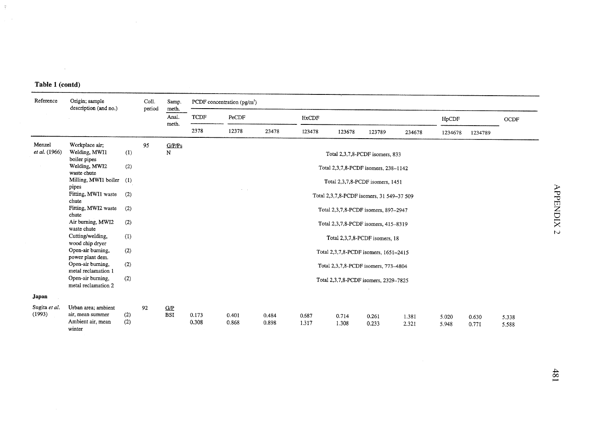$\sim 10^7$ 

 $\frac{1}{2}$  $\sim 100$ 

| Reference               | Origin; sample<br>description (and no.)                                |            | Coll.  | Samp.                   | PCDF concentration $(pg/m^3)$ |                |                |                |                                      |                                           |                |                |                |                |          |
|-------------------------|------------------------------------------------------------------------|------------|--------|-------------------------|-------------------------------|----------------|----------------|----------------|--------------------------------------|-------------------------------------------|----------------|----------------|----------------|----------------|----------|
|                         |                                                                        |            | period | meth.<br>Anal.<br>meth. | <b>TCDF</b>                   | PeCDF          |                | <b>HxCDF</b>   |                                      |                                           |                | HpCDF          |                | OCDF           |          |
|                         |                                                                        |            |        |                         | 2378                          | 12378          | 23478          | 123478         | 123678                               | 123789                                    | 234678         | 1234678        | 1234789        |                |          |
| Menzel<br>et al. (1966) | Workplace air;<br>Welding, MWI1<br>boiler pipes                        | (1)        | 95     | G/P/Ps<br>N             |                               |                |                |                |                                      | Total 2,3,7,8-PCDF isomers, 833           |                |                |                |                |          |
|                         | Welding, MWI2<br>waste chute                                           | (2)        |        |                         |                               |                |                |                | Total 2,3,7,8-PCDF isomers, 238-1142 |                                           |                |                |                |                |          |
|                         | Milling, MWI1 boiler<br>pipes                                          | (1)        |        |                         |                               |                |                |                |                                      | Total 2,3,7,8-PCDF isomers, 1451          |                |                |                |                |          |
|                         | Fitting, MWI1 waste<br>chute                                           | (2)        |        |                         |                               |                |                |                |                                      | Total 2,3,7,8-PCDF isomers, 31 549-37 509 |                |                |                |                | APPENDIX |
|                         | Fitting, MWI2 waste<br>chute                                           | (2)        |        |                         |                               |                |                |                |                                      | Total 2,3,7,8-PCDF isomers, 897-2947      |                |                |                |                |          |
|                         | Air burning, MWI2<br>waste chute                                       | (2)        |        |                         |                               |                |                |                |                                      | Total 2,3,7,8-PCDF isomers, 415-8319      |                |                |                |                | N        |
|                         | Cutting/welding,<br>wood chip dryer                                    | (1)        |        |                         |                               |                |                |                |                                      | Total 2,3,7,8-PCDF isomers, 18            |                |                |                |                |          |
|                         | Open-air burning,<br>power plant dem.                                  | (2)        |        |                         |                               |                |                |                |                                      | Total 2,3,7,8-PCDF isomers, 1651-2415     |                |                |                |                |          |
|                         | Open-air burning,<br>metal reclamation 1                               | (2)        |        |                         |                               |                |                |                |                                      | Total 2,3,7,8-PCDF isomers, 773-4804      |                |                |                |                |          |
|                         | Open-air burning,<br>metal reclamation 2                               | (2)        |        |                         |                               |                |                |                |                                      | Total 2,3,7,8-PCDF isomers, 2329-7825     |                |                |                |                |          |
| Japan                   |                                                                        |            |        |                         |                               |                |                |                |                                      |                                           |                |                |                |                |          |
| Sugita et al.<br>(1993) | Urban area; ambient<br>air, mean summer<br>Ambient air, mean<br>winter | (2)<br>(2) | 92     | G/P<br><b>BSI</b>       | 0.173<br>0.308                | 0.401<br>0.868 | 0.484<br>0.898 | 0.687<br>1.317 | 0.714<br>1.308                       | 0.261<br>0.233                            | 1.381<br>2.321 | 5.020<br>5.948 | 0.630<br>0.771 | 5.338<br>5.588 |          |

181<br>1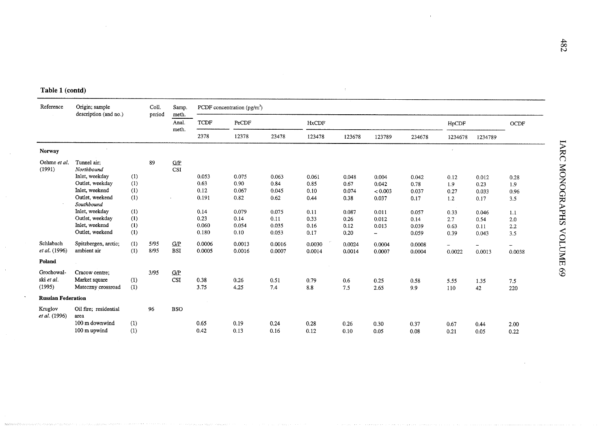| Reference                          | Origin; sample<br>description (and no.)                                                                                                                                                     |                                                      | Coll.<br>period | Samp.<br>meth.                                             |                                                                  | PCDF concentration (pg/m <sup>3</sup> )                          |                                                                   |                                                               |                                                                 |                                                                    |                                                                   |                                                           |                                                                  |                                                                                  |
|------------------------------------|---------------------------------------------------------------------------------------------------------------------------------------------------------------------------------------------|------------------------------------------------------|-----------------|------------------------------------------------------------|------------------------------------------------------------------|------------------------------------------------------------------|-------------------------------------------------------------------|---------------------------------------------------------------|-----------------------------------------------------------------|--------------------------------------------------------------------|-------------------------------------------------------------------|-----------------------------------------------------------|------------------------------------------------------------------|----------------------------------------------------------------------------------|
|                                    |                                                                                                                                                                                             |                                                      |                 | Anal.<br>meth.                                             | <b>TCDF</b>                                                      | PeCDF                                                            |                                                                   | HxCDF                                                         |                                                                 |                                                                    |                                                                   | HpCDF                                                     |                                                                  | OCDF                                                                             |
|                                    |                                                                                                                                                                                             |                                                      |                 |                                                            | 2378                                                             | 12378                                                            | 23478                                                             | 123478                                                        | 123678                                                          | 123789                                                             | 234678                                                            | 1234678                                                   | 1234789                                                          |                                                                                  |
| <b>Norway</b>                      |                                                                                                                                                                                             |                                                      |                 |                                                            |                                                                  |                                                                  |                                                                   |                                                               |                                                                 |                                                                    |                                                                   |                                                           |                                                                  | LARC                                                                             |
| Oehme et al.<br>(1991)             | Tunnel air;<br>Northbound<br>Inlet, weekday<br>Outlet, weekday<br>Inlet, weekend<br>Outlet, weekend<br>Southbound<br>Inlet, weekday<br>Outlet, weekdav<br>Inlet, weekend<br>Outlet, weekend | (1)<br>(1)<br>(1)<br>(1)<br>(1)<br>(1)<br>(1)<br>(1) | 89              | $\underline{\mathbf{G}}\mathbf{/}\mathbf{P}$<br><b>CSI</b> | 0.053<br>0.63<br>0.12<br>0.191<br>0.14<br>0.23<br>0.060<br>0.180 | 0.075<br>0.90<br>0.067<br>0.82<br>0.079<br>0.14<br>0.054<br>0.10 | 0.063<br>0.84<br>0.045<br>0.62<br>0.075<br>0.11<br>0.035<br>0.053 | 0.061<br>0.85<br>0.10<br>0.44<br>0.11<br>0.33<br>0.16<br>0.17 | 0.048<br>0.67<br>0.074<br>0.38<br>0.087<br>0.26<br>0.12<br>0.20 | 0.004<br>0.042<br>< 0.003<br>0.037<br>0.011<br>0.012<br>0.013<br>- | 0.042<br>0.78<br>0.037<br>0.17<br>0.057<br>0.14<br>0.039<br>0.059 | 0.12<br>1.9<br>0.27<br>1.2<br>0.33<br>2.7<br>0.63<br>0.39 | 0.012<br>0.23<br>0.033<br>0.17<br>0.046<br>0.54<br>0.11<br>0.043 | <b>MONOGRAPHS</b><br>0.28<br>1.9<br>0.96<br>3.5<br>1.1<br>2.0<br>2.2<br>≺<br>3.5 |
| Schlabach<br>et al. (1996)         | Spitzbergen, arctic;<br>ambient air                                                                                                                                                         | (1)<br>(1)                                           | 5/95<br>8/95    | G/P<br><b>BSI</b>                                          | 0.0006<br>0.0005                                                 | 0.0013<br>0.0016                                                 | 0.0016<br>0.0007                                                  | 0.0030<br>0.0014                                              | 0.0024<br>0.0014                                                | 0.0004<br>0.0007                                                   | 0.0008<br>0.0004                                                  | $\overline{\phantom{0}}$<br>0.0022                        | 0.0013                                                           | <b>OLUME</b><br>0.0038                                                           |
| Poland                             |                                                                                                                                                                                             |                                                      |                 |                                                            |                                                                  |                                                                  |                                                                   |                                                               |                                                                 |                                                                    |                                                                   |                                                           |                                                                  |                                                                                  |
| Grochowal-<br>ski et al.<br>(1995) | Cracow centre;<br>Market square<br>Mateczny crossroad                                                                                                                                       | (1)<br>(1)                                           | 3/95            | G/P<br><b>CSI</b>                                          | 0.38<br>3.75                                                     | 0.26<br>4.25                                                     | 0.51<br>7.4                                                       | 0.79<br>8.8                                                   | 0.6<br>7.5                                                      | 0.25<br>2.65                                                       | 0.58<br>9.9                                                       | 5.55<br>110                                               | 1.35<br>42                                                       | 69<br>7.5<br>220                                                                 |
| <b>Russian Federation</b>          |                                                                                                                                                                                             |                                                      |                 |                                                            |                                                                  |                                                                  |                                                                   |                                                               |                                                                 |                                                                    |                                                                   |                                                           |                                                                  |                                                                                  |
| Kruglov<br>et al. (1996)           | Oil fire; residential<br>area<br>100 m downwind<br>100 m upwind                                                                                                                             | (1)<br>(1)                                           | 96              | <b>BSO</b>                                                 | 0.65<br>0.42                                                     | 0.19<br>0.13                                                     | 0.24<br>0.16                                                      | 0.28<br>0.12                                                  | 0.26<br>0.10                                                    | 0.30<br>0.05                                                       | 0.37<br>0.08                                                      | 0.67<br>0.21                                              | 0.44<br>0.05                                                     | 2.00<br>0.22                                                                     |

÷.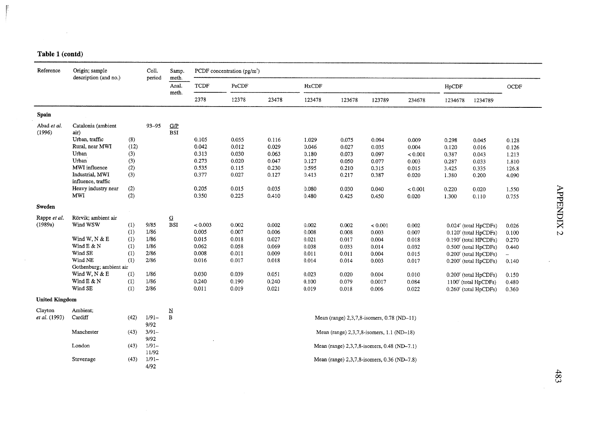$\mathcal{L}^{\text{max}}_{\text{max}}$ 

r

| Reference             | Origin; sample                        |      | Coll.    | Samp.                    |             | PCDF concentration $(pg/m3)$ |       |              |        |                                             |         |         |                                   |       |
|-----------------------|---------------------------------------|------|----------|--------------------------|-------------|------------------------------|-------|--------------|--------|---------------------------------------------|---------|---------|-----------------------------------|-------|
|                       | description (and no.)                 |      | period   | meth.<br>Anal.           | <b>TCDF</b> | PeCDF                        |       | <b>HxCDF</b> |        |                                             |         | HpCDF   |                                   | OCDF  |
|                       |                                       |      |          | meth.                    | 2378        | 12378                        | 23478 | 123478       | 123678 | 123789                                      | 234678  | 1234678 | 1234789                           |       |
| Spain                 |                                       |      |          |                          |             |                              |       |              |        |                                             |         |         |                                   |       |
| Abad et al.           | Catalonia (ambient                    |      | 93-95    | C/P                      |             |                              |       |              |        |                                             |         |         |                                   |       |
| (1996)                | air)                                  |      |          | <b>BSI</b>               |             |                              |       |              |        |                                             |         |         |                                   |       |
|                       | Urban, traffic                        | (8)  |          |                          | 0.105       | 0.055                        | 0.116 | 1.029        | 0.075  | 0.094                                       | 0.009   | 0.298   | 0.045                             | 0.128 |
|                       | Rural, near MWI                       | (12) |          |                          | 0.042       | 0.012                        | 0.029 | 0.046        | 0.027  | 0.035                                       | 0.004   | 0.120   | 0.016                             | 0.126 |
|                       | Urban                                 | (3)  |          |                          | 0.313       | 0.030                        | 0.063 | 0.180        | 0.073  | 0.097                                       | < 0.001 | 0.387   | 0.043                             | 1.213 |
|                       | Urban                                 | (3)  |          |                          | 0.273       | 0.020                        | 0.047 | 0.127        | 0.050  | 0.077                                       | 0.003   | 0.287   | 0.033                             | 1.810 |
|                       | MWI influence                         | (2)  |          |                          | 0.535       | 0.115                        | 0.230 | 0.595        | 0.210  | 0.315                                       | 0.015   | 3.425   | 0.335                             | 126.8 |
|                       | Industrial, MWI<br>influence, traffic | (3)  |          |                          | 0.377       | 0.027                        | 0.127 | 0.413        | 0.217  | 0.387                                       | 0.020   | 1.380   | 0.200                             | 4.090 |
|                       | Heavy industry near                   | (2)  |          |                          | 0.205       | 0.015                        | 0.035 | 0.080        | 0.030  | 0.040                                       | < 0.001 | 0.220   | 0.020                             | 1.550 |
|                       | <b>MWI</b>                            | (2)  |          |                          | 0.350       | 0.225                        | 0.410 | 0.480        | 0.425  | 0.450                                       | 0.020   | 1.300   | 0.110                             | 0.755 |
| Sweden                |                                       |      |          |                          |             |                              |       |              |        |                                             |         |         |                                   |       |
| Rappe et al.          | Rörvik; ambient air                   |      |          | $\mathbf{\Omega}$        |             |                              |       |              |        |                                             |         |         |                                   |       |
| (1989a)               | Wind WSW                              | (1)  | 9/85     | <b>BSI</b>               | < 0.003     | 0.002                        | 0.002 | 0.002        | 0.002  | < 0.001                                     | 0.002   |         | 0.024 <sup>e</sup> (total HpCDFs) | 0.026 |
|                       |                                       | (1)  | 1/86     |                          | 0.005       | 0.007                        | 0.006 | 0.008        | 0.008  | 0.003                                       | 0.007   |         | 0.120° (total HpCDFs)             | 0.100 |
|                       | Wind W, N & E                         | (1)  | 1/86     |                          | 0.015       | 0.018                        | 0.027 | 0.021        | 0.017  | 0.004                                       | 0.018   |         | 0.190 <sup>c</sup> (total HPCDFs) | 0.270 |
|                       | Wind E & N                            | (1)  | 1/86     |                          | 0.062       | 0.058                        | 0.069 | 0.038        | 0.033  | 0.014                                       | 0.032   |         | 0.500° (total HpCDFs)             | 0.440 |
|                       | Wind SE                               | (1)  | 2/86     |                          | 0.008       | 0.011                        | 0.009 | 0.011        | 0.011  | 0.004                                       | 0.015   |         | 0.200 <sup>c</sup> (total HpCDFs) | -     |
|                       | Wind NE                               | (1)  | 2/86     |                          | 0.016       | 0.017                        | 0.018 | 0.014        | 0.014  | 0.003                                       | 0.017   |         | 0.200 <sup>c</sup> (total HpCDFs) | 0.140 |
|                       | Gothenburg; ambient air               |      |          |                          |             |                              |       |              |        |                                             |         |         |                                   |       |
|                       | Wind W, N & E                         | (1)  | 1/86     |                          | 0.030       | 0.039                        | 0.051 | 0.023        | 0.020  | 0.004                                       | 0.010   |         | 0.200 <sup>e</sup> (total HpCDFs) | 0.150 |
|                       | Wind E & N                            | (1)  | 1/86     |                          | 0.240       | 0.190                        | 0.240 | 0.100        | 0.079  | 0.0017                                      | 0.084   |         | 1100° (total HpCDFs)              | 0.480 |
|                       | Wind SE                               | (1)  | 2/86     |                          | 0.011       | 0.019                        | 0.021 | 0.019        | 0.018  | 0.006                                       | 0.022   |         | 0.260° (total HpCDFs)             | 0.360 |
| <b>United Kingdom</b> |                                       |      |          |                          |             |                              |       |              |        |                                             |         |         |                                   |       |
| Clayton               | Ambient:                              |      |          | $\underline{\textbf{N}}$ |             |                              |       |              |        |                                             |         |         |                                   |       |
| et al. (1993)         | Cardiff                               | (42) | $1/91-$  | $\, {\bf B}$             |             |                              |       |              |        | Mean (range) 2,3,7,8-isomers, 0.78 (ND-11)  |         |         |                                   |       |
|                       |                                       |      | 9/92     |                          |             |                              |       |              |        |                                             |         |         |                                   |       |
|                       | Manchester                            | (43) | $3/91-$  |                          |             |                              |       |              |        | Mean (range) 2,3,7,8-isomers, 1.1 (ND-18)   |         |         |                                   |       |
|                       |                                       |      | 9/92     |                          |             |                              |       |              |        |                                             |         |         |                                   |       |
|                       | London                                | (43) | $1/91-$  |                          |             |                              |       |              |        | Mean (range) 2,3,7,8-isomers, 0.48 (ND-7.1) |         |         |                                   |       |
|                       |                                       |      | 11/92    |                          |             |                              |       |              |        |                                             |         |         |                                   |       |
|                       | Stevenage                             | (43) | $1/91 -$ |                          |             |                              |       |              |        | Mean (range) 2,3,7,8-isomers, 0.36 (ND-7.8) |         |         |                                   |       |
|                       |                                       |      | 4/92     |                          |             |                              |       |              |        |                                             |         |         |                                   |       |

 $\mathcal{A}$ .<br>س

 $\sim$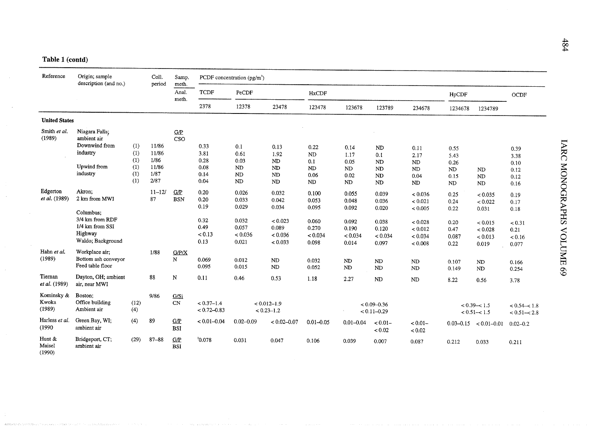| Reference                     | Origin; sample<br>description (and no.)                                                                    |                                        | Coll.<br>period                                 | Samp.<br>meth.                 |                                                        | PCDF concentration $(pg/m^3)$                                 |                                                                   |                                                               |                                                               |                                                               |                                                                           |                                                       |                                                                       |                                                           |
|-------------------------------|------------------------------------------------------------------------------------------------------------|----------------------------------------|-------------------------------------------------|--------------------------------|--------------------------------------------------------|---------------------------------------------------------------|-------------------------------------------------------------------|---------------------------------------------------------------|---------------------------------------------------------------|---------------------------------------------------------------|---------------------------------------------------------------------------|-------------------------------------------------------|-----------------------------------------------------------------------|-----------------------------------------------------------|
|                               |                                                                                                            |                                        |                                                 | Anal.<br>meth.                 | <b>TCDF</b>                                            | PeCDF                                                         |                                                                   | <b>HxCDF</b>                                                  |                                                               |                                                               |                                                                           | HpCDF                                                 |                                                                       | $\rm OCDF$                                                |
|                               |                                                                                                            |                                        |                                                 |                                | 2378                                                   | 12378                                                         | 23478                                                             | 123478                                                        | 123678                                                        | 123789                                                        | 234678                                                                    | 1234678                                               | 1234789                                                               |                                                           |
| <b>United States</b>          |                                                                                                            |                                        |                                                 |                                |                                                        |                                                               |                                                                   |                                                               |                                                               |                                                               |                                                                           |                                                       |                                                                       |                                                           |
| Smith et al.<br>(1989)        | Niagara Falls;<br>ambient air<br>Downwind from<br>industry<br>Upwind from<br>industry                      | (1)<br>(1)<br>(1)<br>(1)<br>(1)<br>(1) | 11/86<br>11/86<br>1/86<br>11/86<br>1/87<br>2/87 | G/P<br>CSO                     | 0.33<br>3.81<br>0.28<br>0.08<br>0.14<br>0.04           | 0.1<br>0.61<br>0.03<br>ND<br>ND<br>ND                         | 0.13<br>1.92<br>ND<br>ND<br>ND<br>ND                              | 0.22<br><b>ND</b><br>0.1<br><b>ND</b><br>0.06<br>ND           | 0.14<br>1.17<br>0.05<br>ND<br>0.02<br>ND                      | ND<br>0.1<br>ND<br>N <sub>D</sub><br><b>ND</b><br>ND          | 0.11<br>2.17<br>$\mathbf{ND}$<br>$\mathbf{ND}$<br>0.04<br><b>ND</b>       | 0.55<br>5.43<br>0.26<br>ND<br>0.15<br>ND              | <b>ND</b><br>N <sub>D</sub><br><b>ND</b>                              | 0.39<br>3.38<br>0.10<br>0.12<br>0.12<br>0.16              |
| Edgerton<br>et al. (1989)     | Akron;<br>2 km from MWI<br>Columbus:<br>3/4 km from RDF<br>1/4 km from SSI<br>Highway<br>Waldo; Background |                                        | $11 - 12/$<br>87                                | G/P<br><b>BSN</b>              | 0.20<br>0.20<br>0.19<br>0.32<br>0.49<br>< 0.13<br>0.13 | 0.026<br>0.033<br>0.029<br>0.032<br>0.057<br>< 0.036<br>0.021 | 0.032<br>0.042<br>0.034<br>< 0.023<br>0.089<br>< 0.036<br>< 0.033 | 0.100<br>0.053<br>0.095<br>0.060<br>0.270<br>< 0.034<br>0.098 | 0.055<br>0.048<br>0.092<br>0.092<br>0.190<br>< 0.034<br>0.014 | 0.039<br>0.036<br>0.020<br>0.038<br>0.120<br>< 0.034<br>0.097 | < 0.036<br>< 0.021<br>< 0.005<br>< 0.028<br>< 0.012<br>< 0.034<br>< 0.008 | 0.25<br>0.24<br>0.22<br>0.20<br>0.47<br>0.087<br>0.22 | < 0.035<br>< 0.022<br>0.031<br>< 0.015<br>< 0.028<br>< 0.013<br>0.019 | 0.19<br>0.17<br>0.18<br>< 0.31<br>0.21<br>< 0.16<br>0.077 |
| Hahn et al.<br>(1989)         | Workplace air;<br>Bottom ash conveyor<br>Feed table floor                                                  |                                        | 1/88                                            | G/P/X<br>N                     | 0.069<br>0.095                                         | 0.012<br>0.015                                                | <b>ND</b><br>ND                                                   | 0.032<br>0.052                                                | ND<br><b>ND</b>                                               | ND<br>$\rm ND$                                                | N <sub>D</sub><br>ND                                                      | 0.107<br>0.149                                        | ${\rm ND}$<br>ND                                                      | 0.166<br>0.254                                            |
| Tiernan<br>et al. (1989)      | Dayton, OH; ambient<br>air, near MWI                                                                       |                                        | 88                                              | N                              | 0.11                                                   | 0.46                                                          | 0.53                                                              | 1.18                                                          | 2.27                                                          | ND                                                            | ND                                                                        | 8.22                                                  | 0.56                                                                  | 3.78                                                      |
| Kominsky &<br>Kwoka<br>(1989) | Boston;<br>Office building<br>Ambient air                                                                  | (12)<br>(4)                            | 9/86                                            | G/Si<br>$\mathbf{C}\mathbf{N}$ | $< 0.37 - 1.4$<br>$< 0.72 - 0.83$                      |                                                               | $< 0.012 - 1.9$<br>$< 0.23 - 1.2$                                 |                                                               |                                                               | $< 0.09 - 0.36$<br>$< 0.11 - 0.29$                            |                                                                           |                                                       | $< 0.39 - < 1.5$<br>$< 0.51 - < 1.5$                                  | $< 0.54 - 1.8$<br>$< 0.51 - 2.8$                          |
| Harless et al.<br>(1990)      | Green Bay, WI;<br>ambient air                                                                              | (4)                                    | 89                                              | G/P<br><b>BSI</b>              | $< 0.01 - 0.04$                                        | $0.02 - 0.09$                                                 | $< 0.02 - 0.07$                                                   | $0.01 - 0.05$                                                 | $0.01 - 0.04$                                                 | $< 0.01 -$<br>< 0.02                                          | $< 0.01 -$<br>< 0.02                                                      |                                                       | $0.03-0.15 < 0.01-0.01$                                               | $0.02 - 0.2$                                              |
| Hunt &<br>Maisel<br>(1990)    | Bridgeport, CT;<br>ambient air                                                                             | (29)                                   | $87 - 88$                                       | G/P<br><b>BSI</b>              | 30.078                                                 | 0.031                                                         | 0.047                                                             | 0.106                                                         | 0.039                                                         | 0.007                                                         | 0.087                                                                     | 0.212                                                 | 0.033                                                                 | 0.211                                                     |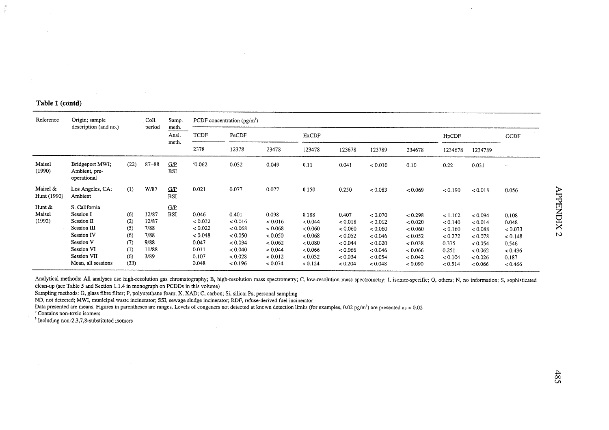| Reference                  | Origin; sample<br>description (and no.)                                                                                                          |                                                       | Coll.<br>period                                         | Samp.<br>meth.    |                                                                            | PCDF concentration $(pg/m^3)$                                                           |                                                                                    |                                                                                    |                                                                                    |                                                                                             |                                                                                      |                                                                                  |                                                                                      |                                                                              |
|----------------------------|--------------------------------------------------------------------------------------------------------------------------------------------------|-------------------------------------------------------|---------------------------------------------------------|-------------------|----------------------------------------------------------------------------|-----------------------------------------------------------------------------------------|------------------------------------------------------------------------------------|------------------------------------------------------------------------------------|------------------------------------------------------------------------------------|---------------------------------------------------------------------------------------------|--------------------------------------------------------------------------------------|----------------------------------------------------------------------------------|--------------------------------------------------------------------------------------|------------------------------------------------------------------------------|
|                            |                                                                                                                                                  |                                                       |                                                         | Anal.<br>meth.    | TCDF                                                                       | PeCDF                                                                                   |                                                                                    | HxCDF                                                                              |                                                                                    |                                                                                             |                                                                                      | HpCDF                                                                            |                                                                                      | OCDF                                                                         |
|                            |                                                                                                                                                  |                                                       |                                                         |                   | 2378                                                                       | 12378                                                                                   | 23478                                                                              | 123478                                                                             | 123678                                                                             | 123789                                                                                      | 234678                                                                               | 1234678                                                                          | 1234789                                                                              |                                                                              |
| Maisel<br>(1990)           | Bridgeport MWI;<br>Ambient, pre-<br>operational                                                                                                  | (22)                                                  | $87 - 88$                                               | G/P<br><b>BSI</b> | 30.062                                                                     | 0.032                                                                                   | 0.049                                                                              | 0.11                                                                               | 0.041                                                                              | < 0.010                                                                                     | 0.10                                                                                 | 0.22                                                                             | 0.031                                                                                | $\overline{\phantom{a}}$                                                     |
| Maisel &<br>Hunt (1990)    | Los Angeles, CA;<br>Ambient                                                                                                                      | (1)                                                   | W/87                                                    | GÆ<br><b>BSI</b>  | 0.021                                                                      | 0.077                                                                                   | 0.077                                                                              | 0.150                                                                              | 0.250                                                                              | < 0.083                                                                                     | < 0.069                                                                              | < 0.190                                                                          | < 0.018                                                                              | 0.056                                                                        |
| Hunt &<br>Maisel<br>(1992) | S. California<br>Session I<br>Session II<br>Session III<br>Session <sub>IV</sub><br>Session V<br>Session VI<br>Session VII<br>Mean, all sessions | (6)<br>(2)<br>(5)<br>(6)<br>(7)<br>(1)<br>(6)<br>(33) | 12/87<br>12/87<br>7/88<br>7/88<br>9/88<br>11/88<br>3/89 | G/P<br><b>BSI</b> | 0.046<br>< 0.032<br>< 0.022<br>< 0.048<br>0.047<br>0.011<br>0.107<br>0.048 | 0.401<br>< 0.016<br>< 0.068<br>${}_{0.050}$<br>< 0.034<br>< 0.040<br>< 0.028<br>< 0.196 | 0.098<br>< 0.016<br>< 0.068<br>< 0.050<br>< 0.062<br>< 0.044<br>< 0.012<br>< 0.074 | 0.188<br>< 0.044<br>< 0.060<br>< 0.068<br>< 0.080<br>< 0.066<br>< 0.032<br>< 0.124 | 0.407<br>< 0.018<br>< 0.060<br>< 0.052<br>< 0.044<br>< 0.066<br>< 0.034<br>< 0.204 | < 0.070<br>${}_{< 0.012}$<br>< 0.060<br>< 0.046<br>< 0.020<br>< 0.046<br>< 0.054<br>< 0.048 | < 0.298<br>< 0.020<br>< 0.060<br>< 0.052<br>< 0.038<br>< 0.066<br>< 0.042<br>< 0.090 | < 1.162<br>< 0.140<br>< 0.160<br>< 0.272<br>0.375<br>0.251<br>< 0.104<br>< 0.514 | < 0.094<br>< 0.014<br>< 0.088<br>< 0.078<br>< 0.054<br>< 0.062<br>< 0.026<br>< 0.066 | 0.108<br>0.048<br>< 0.073<br>< 0.148<br>0.546<br>< 0.436<br>0.187<br>< 0.466 |

Analytical methods: All analyses use high-resolution gas chromatography; B, high-resolution mass spectrometry; C, low-resolution mass spectrometry; I, isomer-specific; O, others; N, no information; S, sophisticated clean-up (see Table 5 and Section  $1.1.4$  in monograph on PCDDs in this volume)

Sampling methods: G, glass fibre filter; P, polyurethane foam; X, XAD; C, carbon; Si, silica; Ps, personal sampling

ND. not deteeted; MW, municipal waste incinerator; SSI, sewage sludge incinerator; RDF, refuse-derived fuel incinerator

Data presented are means. Figures in parentheses are ranges. Levels of congeners not detected at known detection limits (for examples, 0.02 pg/m<sup>3</sup>) are presented as < 0.02

, Contais non-toxie isomers

 $b$  Including non-2,3,7,8-substituted isomers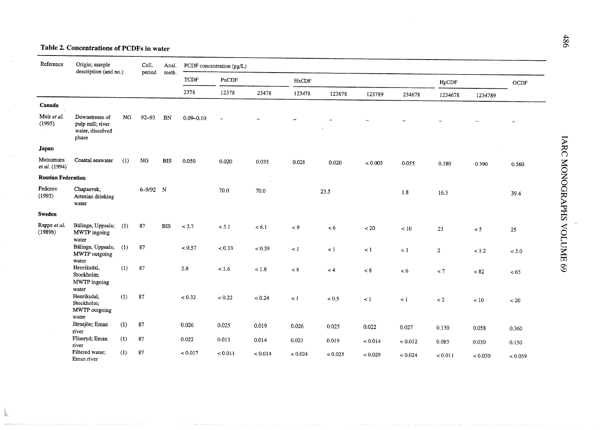## Table 2. Concentrations of PCDFs in water

.<br>1921 - Patrio San California Mercede e constituir con el primer establistica e serve e elecciones serves el p

 $\sim$ 

| Reference                  | Origin; sample<br>description (and no.)                        |           | Coll.     | Anal.      |               | PCDF concentration (pg/L) |         |              |         |         |         |                |          |            |
|----------------------------|----------------------------------------------------------------|-----------|-----------|------------|---------------|---------------------------|---------|--------------|---------|---------|---------|----------------|----------|------------|
|                            |                                                                |           | period    | meth.      | <b>TCDF</b>   | PnCDF                     |         | <b>HxCDF</b> |         |         |         | HpCDF          |          | $\rm OCDF$ |
|                            |                                                                |           |           |            | 2378          | 12378                     | 23478   | 123478       | 123678  | 123789  | 234678  | 1234678        | 1234789  |            |
| Canada                     |                                                                |           |           |            |               |                           |         |              |         |         |         |                |          |            |
| Muir et al.<br>(1995)      | Downstream of<br>pulp mill; river<br>water, dissolved<br>phase | <b>NG</b> | $92 - 93$ | BN         | $0.09 - 0.10$ |                           |         |              |         |         |         |                |          |            |
| Japan                      |                                                                |           |           |            |               |                           |         |              |         |         |         |                |          |            |
| Matsumura<br>et al. (1994) | Coastal seawater                                               | (1)       | NG        | <b>BIS</b> | 0.050         | 0.020                     | 0.035   | 0.028        | 0.020   | < 0.005 | 0.055   | 0.380          | 0.390    | 0.560      |
| <b>Russian Federation</b>  |                                                                |           |           |            |               |                           |         |              |         |         |         |                |          |            |
| Fedorov<br>(1993)          | Chapaevsk;<br>Artesian drinking<br>water                       |           | 6-9/92 N  |            |               | 70.0                      | 70.0    |              | 23.5    |         | 1.8     | 16.3           |          | 39.4       |
| Sweden                     |                                                                |           |           |            |               |                           |         |              |         |         |         |                |          |            |
| Rappe et al.<br>(1989b)    | Bälinge, Uppsala; (1)<br>MWTP ingoing<br>water                 |           | 87        | <b>BIS</b> | < 3.7         | < 5.1                     | < 6.1   | $\lt$ 9      | < 6     | ~120    | $<10$   | 23             | $\leq$ 5 | 25         |
|                            | Bälinge, Uppsala; (1)<br>MWTP outgoing<br>water                |           | 87        |            | < 0.57        | < 0.33                    | < 0.39  | $\lt 1$      | $\lt 1$ | $\lt$ 1 | $\lt 1$ | $\overline{2}$ | 1.2      | < 3.0      |
|                            | Henriksdal,<br>Stockholm;<br>MWTP ingoing                      | (1)       | 87        |            | 2.8           | ~1.6                      | $<1.8$  | $< 8$        | $\lt 4$ | < 8     | < 6     | $\lt$ 7        | ~< 82    | < 65       |
|                            | water<br>Henriksdal,<br>Stockholm;<br>MWTP outgoing<br>water   | (1)       | 87        |            | < 0.32        | < 0.22                    | < 0.24  | $\leq 1$     | < 0.5   | $\lt 1$ | $\lt 1$ | $\lt 2$        | $<10$    | $< 20$     |
|                            | Järnsjön; Eman<br>river                                        | (1)       | 87        |            | 0.026         | 0.025                     | 0.019   | 0.026        | 0.025   | 0.022   | 0.027   | 0.130          | 0.058    | 0.360      |
|                            | Fliseryd; Eman<br>river                                        | (1)       | 87        |            | 0.022         | 0.013                     | 0.014   | 0.021        | 0.019   | < 0.014 | < 0.012 | 0.083          | 0.030    | 0.150      |
|                            | Filtered water;<br>Eman river                                  | (1)       | 87        |            | < 0.017       | < 0.011                   | < 0.014 | < 0.024      | < 0.023 | < 0.029 | < 0.024 | < 0.011        | < 0.030  | < 0.059    |

 $\label{eq:1} \begin{split} \mathcal{L}(\mathbf{x}) = \mathcal{L}(\mathbf{x}) + \mathcal{L}(\mathbf{x}) + \mathcal{L}(\mathbf{x}) + \mathcal{L}(\mathbf{x}) + \mathcal{L}(\mathbf{x}) + \mathcal{L}(\mathbf{x}) + \mathcal{L}(\mathbf{x}) \end{split}$ 

 $\hat{f}$  . The contract of the contract of the contract of the contract of the contract of

.<br>In the first to the reduction of a participant and control of the first interaction participant and international companies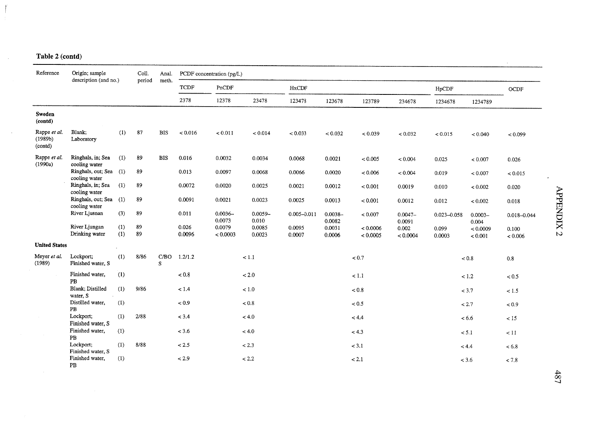$\sim$ 

 $\sim 10$ 

| Reference                          | Origin; sample<br>description (and no.) | Coll.      | Anal.    |            | PCDF concentration (pg/L) |                      |                     |                  |                      |                      |                      |                 |                     |                  |
|------------------------------------|-----------------------------------------|------------|----------|------------|---------------------------|----------------------|---------------------|------------------|----------------------|----------------------|----------------------|-----------------|---------------------|------------------|
|                                    |                                         |            | period   | meth.      | <b>TCDF</b>               | PnCDF                |                     | HxCDF            |                      |                      |                      | HpCDF           |                     | OCDF             |
|                                    |                                         |            |          |            | 2378                      | 12378                | 23478               | 123478           | 123678               | 123789               | 234678               | 1234678         | 1234789             |                  |
| <b>Sweden</b><br>(contd)           |                                         |            |          |            |                           |                      |                     |                  |                      |                      |                      |                 |                     |                  |
| Rappe et al.<br>(1989b)<br>(contd) | Blank:<br>Laboratory                    | (1)        | 87       | <b>BIS</b> | < 0.016                   | < 0.011              | < 0.014             | < 0.033          | < 0.032              | < 0.039              | < 0.032              | < 0.015         | < 0.040             | < 0.099          |
| Rappe et al.<br>(1990a)            | Ringhals, in; Sea<br>cooling water      | (1)        | 89       | <b>BIS</b> | 0.016                     | 0.0032               | 0.0034              | 0.0068           | 0.0021               | < 0.005              | < 0.004              | 0.025           | < 0.007             | 0.026            |
|                                    | Ringhals, out; Sea (1)<br>cooling water |            | 89       |            | 0.013                     | 0.0097               | 0.0068              | 0.0066           | 0.0020               | < 0.006              | < 0.004              | 0.019           | < 0.007             | < 0.015          |
|                                    | Ringhals, in; Sea<br>cooling water      | (1)        | 89       |            | 0.0072                    | 0.0020               | 0.0025              | 0.0021           | 0.0012               | < 0.001              | 0.0019               | 0.010           | < 0.002             | 0.020            |
|                                    | Ringhals, out; Sea (1)<br>cooling water |            | 89       |            | 0.0091                    | 0.0021               | 0.0023              | 0.0025           | 0.0013               | < 0.001              | 0.0012               | 0.012           | < 0.002             | 0.018            |
|                                    | River Ljusnan                           | (3)        | 89       |            | 0.011                     | $0.0036 -$<br>0.0073 | $0.0059 -$<br>0.010 | $0.005 - 0.011$  | $0.0038 -$<br>0.0082 | < 0.007              | $0.0047 -$<br>0.0091 | $0.023 - 0.058$ | $0.0003 -$<br>0.004 | $0.018 - 0.044$  |
|                                    | River Ljungan<br>Drinking water         | (1)<br>(1) | 89<br>89 |            | 0.026<br>0.0096           | 0.0079<br>< 0.0003   | 0.0085<br>0.0023    | 0.0095<br>0.0007 | 0.0031<br>0.0006     | < 0.0006<br>< 0.0005 | 0.002<br>< 0.0004    | 0.099<br>0.0003 | < 0.0009<br>< 0.001 | 0.100<br>< 0.006 |
| <b>United States</b>               |                                         |            |          |            |                           |                      |                     |                  |                      |                      |                      |                 |                     |                  |
| Meyer et al.<br>(1989)             | Lockport;<br>Finished water, S          | (1)        | 8/86     | S          | C/BO 1.2/1.2              |                      | < 1.1               |                  |                      | $< 0.7$              |                      |                 | < 0.8               | 0.8              |
|                                    | Finished water,<br>PB                   | (1)        |          |            | $< 0.8$                   |                      | $<2.0\,$            |                  |                      | < 1.1                |                      |                 | $<1.2\,$            | < 0.5            |
|                                    | Blank; Distilled<br>water, S            | (1)        | 9/86     |            | < 1.4                     |                      | $<1.0\,$            |                  |                      | ${}_{< 0.8}$         |                      |                 | < 3.7               | $<1.5$           |
|                                    | Distilled water,<br>PB                  | (1)        |          |            | $< 0.9$                   |                      | $< 0.8$             |                  |                      | $< 0.5$              |                      |                 | < 2.7               | < 0.9            |
|                                    | Lockport;<br>Finished water, S          | (1)        | 2/88     |            | < 3.4                     |                      | < 4.0               |                  |                      | < 4.4                |                      |                 | < 6.6               | < 15             |
|                                    | Finished water,<br>PB                   | (1)        |          |            | < 3.6                     |                      | < 4.0               |                  |                      | < 4.3                |                      |                 | < 5.1               | < 11             |
|                                    | Lockport:<br>Finished water, S          | (1)        | 8/88     |            | < 2.5                     |                      | < 2.3               |                  |                      | < 3.1                |                      |                 | < 4.4               | < 6.8            |
|                                    | Finished water,<br>PB                   | (1)        |          |            | < 2.9                     |                      | < 2.2               |                  |                      | < 2.1                |                      |                 | < 3.6               | < 7.8            |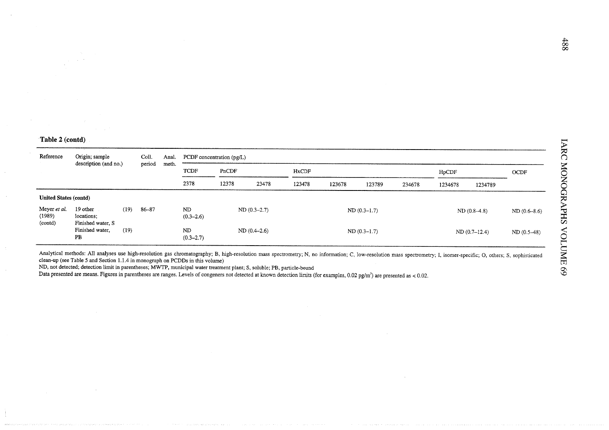| Reference                         | Origin; sample                              |      | Coll.  | Anal.                                         |                      | PCDF concentration $(pg/L)$                  |               |  |  |               |        |         |               |              |
|-----------------------------------|---------------------------------------------|------|--------|-----------------------------------------------|----------------------|----------------------------------------------|---------------|--|--|---------------|--------|---------|---------------|--------------|
|                                   | description (and no.)                       |      | period | meth.<br><b>TCDF</b><br>PnCDF<br><b>HxCDF</b> |                      |                                              |               |  |  | HpCDF         |        | OCDF    |               |              |
|                                   |                                             |      |        |                                               | 2378                 | 12378<br>23478<br>123478<br>123678<br>123789 |               |  |  |               | 234678 | 1234678 | 1234789       |              |
| <b>United States (contd)</b>      |                                             |      |        |                                               |                      |                                              |               |  |  |               |        |         |               |              |
| Meyer et al.<br>(1989)<br>(contd) | 19 other<br>locations;<br>Finished water, S | (19) | 86-87  |                                               | ND.<br>$(0.3 - 2.6)$ |                                              | $ND(0.3-2.7)$ |  |  | $ND(0.3-1.7)$ |        |         | $ND(0.8-4.8)$ | ND(0.6–8.6)  |
|                                   | Finished water,<br>PB                       | (19) |        |                                               | ND<br>$(0.3 - 2.7)$  |                                              | $ND(0.4-2.6)$ |  |  | $ND(0.3-1.7)$ |        |         | ND(0.7–12.4)  | $ND(0.5-48)$ |

Analytical methods: All analyses use high-resolution gas chromatography; B, high-resolution mass spectrometry; N, no information; C, low-resolution mass spectrometry; I, isomer-specific; O, others; S, sophisticated clean-up (see Table 5 and Section 1.1.4 in monograph on PCDDs in this volume)

ND, not detected; detection limit in parentheses; MWTP, municipal water treatment plant; S, soluble; PB, particle-bound

Data presented are means. Figures in parentheses are ranges. Levels of congeners not detected at known detection limits (for examples, 0.02 pg/m<sup>3</sup>) are presented as < 0.02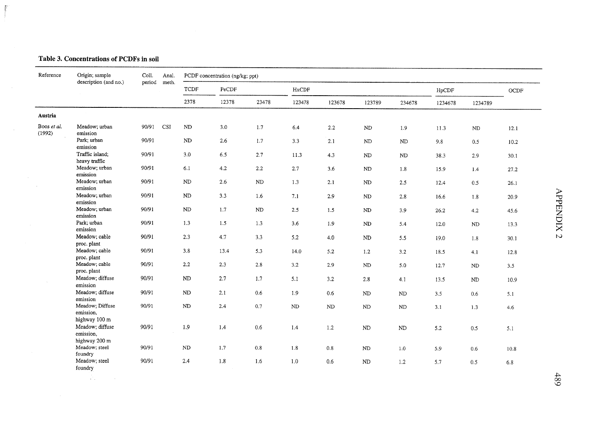#### Table 3. Concentrations of PCDFs in soil

 $\bar{E}$ 

 $\sim 10^{11}$ 

 $\sim 10^{11}$ 

| Reference             | Origin; sample<br>description (and no.)       | Coll.<br>period | Anal.<br>meth. |             | PCDF concentration (ng/kg; ppt) |         |          |          |            |          |         |                |         |  |
|-----------------------|-----------------------------------------------|-----------------|----------------|-------------|---------------------------------|---------|----------|----------|------------|----------|---------|----------------|---------|--|
|                       |                                               |                 |                | <b>TCDF</b> | PeCDF                           |         | HxCDF    |          |            |          | HpCDF   |                | $OCDF$  |  |
|                       |                                               |                 |                | 2378        | 12378                           | 23478   | 123478   | 123678   | 123789     | 234678   | 1234678 | 1234789        |         |  |
| Austria               |                                               |                 |                |             |                                 |         |          |          |            |          |         |                |         |  |
| Boos et al.<br>(1992) | Meadow; urban<br>emission                     | 90/91           | <b>CSI</b>     | ${\rm ND}$  | 3.0                             | 1.7     | 6.4      | $2.2\,$  | ${\rm ND}$ | 1.9      | 11.3    | $\rm ND$       | 12.1    |  |
|                       | Park; urban<br>emission                       | 90/91           |                | $\rm ND$    | 2.6                             | 1.7     | 3.3      | 2.1      | $\rm ND$   | ND       | 9.8     | 0.5            | 10.2    |  |
|                       | Traffic island;<br>heavy traffic              | 90/91           |                | $3.0\,$     | 6.5                             | 2.7     | 11.3     | 4.3      | ND         | ND       | 38.3    | 2.9            | 30.1    |  |
|                       | Meadow; urban<br>emission                     | 90/91           |                | 6.1         | 4.2                             | $2.2\,$ | 2.7      | 3.6      | $\rm ND$   | $1.8\,$  | 15.9    | 1.4            | 27.2    |  |
|                       | Meadow; urban<br>emission                     | 90/91           |                | ND          | 2.6                             | ND      | 1.3      | 2.1      | ND         | $2.5$    | 12.4    | 0.5            | 26.1    |  |
|                       | Meadow; urban<br>emission                     | 90/91           |                | ND          | 3.3                             | 1.6     | 7.1      | 2.9      | ND         | $2.8\,$  | 16.6    | 1.8            | 20.9    |  |
|                       | Meadow; urban<br>emission                     | 90/91           |                | ND          | 1.7                             | ND      | 2.5      | 1.5      | ND         | 3.9      | 26.2    | 4.2            | 45.6    |  |
|                       | Park; urban<br>emission                       | 90/91           |                | 1.3         | 1.5                             | 1.3     | 3.6      | 1.9      | ND         | 5.4      | 12.0    | ND             | 13.3    |  |
|                       | Meadow; cable<br>proc. plant                  | 90/91           |                | 2.3         | 4.7                             | 3.3     | 5.2      | 4.0      | $\rm ND$   | 5.5      | 19.0    | 1.8            | 30.1    |  |
|                       | Meadow; cable<br>proc. plant                  | 90/91           |                | 3.8         | 13.4                            | 5.3     | 14.0     | 5.2      | 1.2        | $3.2\,$  | 18.5    | 4.1            | 12.8    |  |
|                       | Meadow; cable<br>proc. plant                  | 90/91           |                | 2.2         | 2.3                             | 2.8     | 3.2      | 2.9      | $\rm ND$   | 5.0      | 12.7    | N <sub>D</sub> | 3.5     |  |
|                       | Meadow; diffuse<br>emission                   | 90/91           |                | ND          | 2.7                             | 1.7     | 5.1      | 3.2      | 2.8        | 4.1      | 13.5    | ND             | 10.9    |  |
|                       | Meadow; diffuse<br>emission                   | 90/91           |                | ND          | 2.1                             | $0.6\,$ | 1.9      | 0.6      | <b>ND</b>  | $\rm ND$ | 3.5     | 0.6            | 5.1     |  |
|                       | Meadow; Diffuse<br>emission,                  | 90/91           |                | ND          | 2.4                             | 0.7     | $\rm ND$ | $\rm ND$ | ND         | $\rm ND$ | 3.1     | 1.3            | $4.6\,$ |  |
|                       | highway 100 m<br>Meadow; diffuse<br>emission. | 90/91           |                | 1.9         | 1.4                             | $0.6\,$ | 1.4      | 1.2      | $\rm ND$   | $\rm ND$ | 5.2     | $0.5\,$        | 5.1     |  |
|                       | highway 200 m<br>Meadow; steel<br>foundry     | 90/91           |                | $\rm ND$    | 1.7                             | $0.8\,$ | $1.8\,$  | $0.8\,$  | ${\rm ND}$ | 1.0      | 5.9     | 0.6            | 10.8    |  |
|                       | Meadow; steel<br>foundry                      | 90/91           |                | 2.4         | 1.8                             | 1.6     | $1.0\,$  | $0.6\,$  | $\rm ND$   | $1.2\,$  | 5.7     | 0.5            | 6.8     |  |
|                       | Ŵ.<br>$\sim$                                  |                 |                |             |                                 |         |          |          |            |          |         |                |         |  |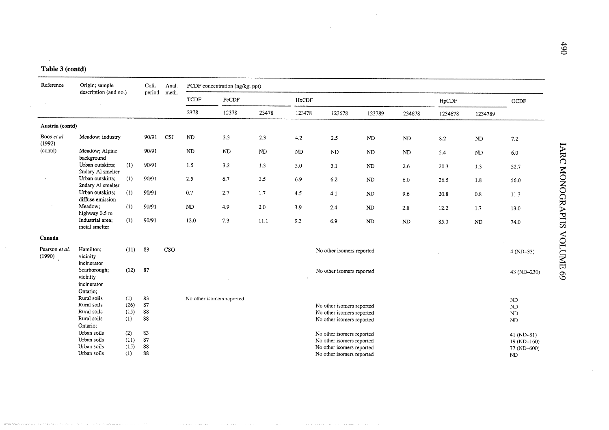| Reference                | Origin; sample<br>description (and no.)             |      | Coll.  | Anal. |                           | PCDF concentration (ng/kg; ppt) |       |        |                           |            |            |               |            |               |
|--------------------------|-----------------------------------------------------|------|--------|-------|---------------------------|---------------------------------|-------|--------|---------------------------|------------|------------|---------------|------------|---------------|
|                          |                                                     |      | period | meth. | <b>TCDF</b>               | PeCDF                           |       | HxCDF  |                           |            |            | ${\rm HpCDF}$ |            | OCDF          |
|                          |                                                     |      |        |       | 2378                      | 12378                           | 23478 | 123478 | 123678                    | 123789     | 234678     | 1234678       | 1234789    |               |
| Austria (contd)          |                                                     |      |        |       |                           |                                 |       |        |                           |            |            |               |            |               |
| Boos et al.<br>(1992)    | Meadow; industry                                    |      | 90/91  | CSI   | ND                        | 3.3                             | 2.3   | 4.2    | 2.5                       | ND         | ${\rm ND}$ | 8.2           | ${\rm ND}$ | 7.2           |
| (contd)                  | Meadow; Alpine<br>background                        |      | 90/91  |       | ND                        | <b>ND</b>                       | ND    | ND     | $\rm ND$                  | ND         | ND         | 5.4           | $\rm ND$   | $6.0\,$       |
|                          | Urban outskirts:<br>2ndary Al smelter               | (1)  | 90/91  |       | 1.5                       | 3.2                             | 1.3   | 5.0    | 3.1                       | ND         | 2.6        | 20.3          | 1.3        | 52.7          |
|                          | Urban outskirts;<br>2ndary Al smelter               | (1)  | 90/91  |       | 2.5                       | 6.7                             | 3.5   | 6.9    | 6.2                       | ND         | 6.0        | 26.5          | 1.8        | 56.0          |
|                          | Urban outskirts;<br>diffuse emission                | (1)  | 90/91  |       | 0.7                       | 2.7                             | 1.7   | 4.5    | 4.1                       | ND         | 9.6        | 20.8          | 0.8        | 11.3          |
|                          | Meadow;<br>highway 0.5 m                            | (1)  | 90/91  |       | ND                        | 4.9                             | 2.0   | 3.9    | 2.4                       | ${\rm ND}$ | 2.8        | 12.2          | 1.7        | 13.0          |
|                          | Industrial area:<br>metal smelter                   | (1)  | 90/91  |       | 12.0                      | 7.3                             | 11.1  | 9.3    | 6.9                       | ND         | <b>ND</b>  | 85.0          | <b>ND</b>  | 74.0          |
| Canada                   |                                                     |      |        |       |                           |                                 |       |        |                           |            |            |               |            |               |
| Pearson et al.<br>(1990) | Hamilton;<br>vicinity<br>incinerator                | (11) | 83     | CSO   |                           |                                 |       |        | No other isomers reported |            |            |               |            | $4 (ND-33)$   |
|                          | Scarborough;<br>vicinity<br>incinerator<br>Ontario; | (12) | 87     |       |                           |                                 |       |        | No other isomers reported |            |            |               |            | 43 (ND-230)   |
|                          | Rural soils                                         | (1)  | 83     |       | No other isomers reported |                                 |       |        |                           |            |            |               |            | ND            |
|                          | Rural soils                                         | (26) | 87     |       |                           |                                 |       |        | No other isomers reported |            |            |               |            | ND            |
|                          | Rural soils                                         | (15) | 88     |       |                           |                                 |       |        | No other isomers reported |            |            |               |            | ND            |
|                          | Rural soils                                         | (1)  | 88     |       |                           |                                 |       |        | No other isomers reported |            |            |               |            | ND            |
|                          | Ontario:                                            |      |        |       |                           |                                 |       |        |                           |            |            |               |            |               |
|                          | Urban soils                                         | (2)  | 83     |       |                           |                                 |       |        | No other isomers reported |            |            |               |            | $41 (ND-81)$  |
|                          | Urban soils                                         | (11) | 87     |       |                           |                                 |       |        | No other isomers reported |            |            |               |            | $19 (ND-160)$ |
|                          | Urban soils                                         | (15) | 88     |       |                           |                                 |       |        | No other isomers reported |            |            |               |            | 77 (ND-600)   |
|                          | Urban soils                                         | (1)  | 88     |       |                           |                                 |       |        | No other isomers reported |            |            |               |            | ND.           |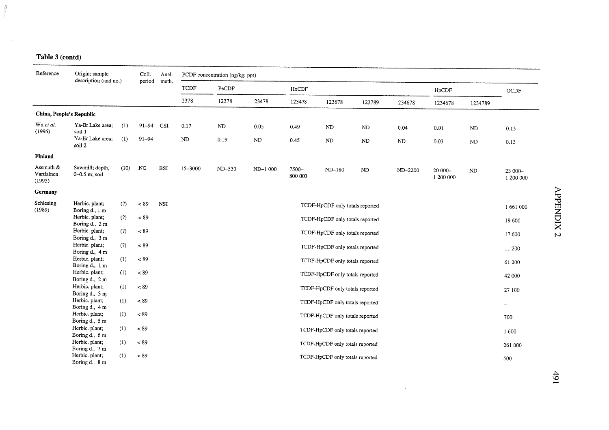$\tilde{E}$ ÷

 $\sim 10$ 

| Reference                         | Origin; sample<br>description (and no.) |      | Coll.<br>period | Anal.      |         | PCDF concentration (ng/kg; ppt) |          |                  |                                 |            |          |                      |          |                      |
|-----------------------------------|-----------------------------------------|------|-----------------|------------|---------|---------------------------------|----------|------------------|---------------------------------|------------|----------|----------------------|----------|----------------------|
|                                   |                                         |      |                 | meth.      | TCDF    | ${\tt PeCDF}$                   |          | <b>HxCDF</b>     |                                 |            |          | HpCDF                |          | OCDF                 |
|                                   |                                         |      |                 |            | 2378    | 12378                           | 23478    | 123478           | 123678                          | 123789     | 234678   | 1234678              | 1234789  |                      |
| China, People's Republic          |                                         |      |                 |            |         |                                 |          |                  |                                 |            |          |                      |          |                      |
| Wu et al.<br>(1995)               | Ya-Er Lake area;<br>soil 1              | (1)  | $91 - 94$       | CSI        | 0.17    | ND                              | 0.05     | 0.49             | ND                              | ${\rm ND}$ | 0.04     | 0.01                 | ND       | 0.15                 |
|                                   | Ya-Er Lake area;<br>soil 2              | (1)  | $91 - 94$       |            | ND      | 0.19                            | ND       | 0.45             | $\rm ND$                        | $\rm ND$   | $\rm ND$ | 0.03                 | $\rm ND$ | 0.13                 |
| <b>Finland</b>                    |                                         |      |                 |            |         |                                 |          |                  |                                 |            |          |                      |          |                      |
| Assmuth &<br>Vartiainen<br>(1995) | Sawmill; depth.<br>$0 - 0.5$ m; soil    | (10) | NG              | <b>BSI</b> | 15-3000 | ND-530                          | ND-1 000 | 7500-<br>800 000 | ND-180                          | ND         | ND-2200  | 20 000-<br>1 200 000 | ND       | 23 000-<br>1 200 000 |
| Germany                           |                                         |      |                 |            |         |                                 |          |                  |                                 |            |          |                      |          |                      |
| Schlesing<br>(1989)               | Herbic. plant;<br>Boring d., 1 m        | (?)  | ~< 89           | <b>NSI</b> |         |                                 |          |                  | TCDF-HpCDF only totals reported |            |          |                      |          | 1661000              |
|                                   | Herbic. plant;<br>Boring d., 2 m        | (?)  | $< 89$          |            |         |                                 |          |                  | TCDF-HpCDF only totals reported |            |          |                      |          | 19 600               |
|                                   | Herbic. plant;<br>Boring d., 3 m        | (?)  | < 89            |            |         |                                 |          |                  | TCDF-HpCDF only totals reported |            |          |                      |          | 17 600               |
|                                   | Herbic. plant;<br>Boring d., 4 m        | (?)  | $< 89$          |            |         |                                 |          |                  | TCDF-HpCDF only totals reported |            |          |                      |          | 11 200               |
|                                   | Herbic. plant;<br>Boring d., 1 m        | (1)  | ~< 89           |            |         |                                 |          |                  | TCDF-HpCDF only totals reported |            |          |                      |          | 61 200               |
|                                   | Herbic. plant;<br>Boring d., 2 m        | (1)  | < 89            |            |         |                                 |          |                  | TCDF-HpCDF only totals reported |            |          |                      |          | 42 000               |
|                                   | Herbic. plant;<br>Boring d., 3 m        | (1)  | ~< 89           |            |         |                                 |          |                  | TCDF-HpCDF only totals reported |            |          |                      |          | 27 100               |
|                                   | Herbic. plant;<br>Boring d., 4 m        | (1)  | ~< 89           |            |         |                                 |          |                  | TCDF-HpCDF only totals reported |            |          |                      |          | -                    |
|                                   | Herbic. plant;<br>Boring d., 5 m        | (1)  | ~< 89           |            |         |                                 |          |                  | TCDF-HpCDF only totals reported |            |          |                      |          | 700                  |
|                                   | Herbic. plant;<br>Boring d., 6 m        | (1)  | ~189            |            |         |                                 |          |                  | TCDF-HpCDF only totals reported |            |          |                      |          | 1600                 |
|                                   | Herbic. plant;<br>Boring d., 7 m        | (1)  | < 89            |            |         |                                 |          |                  | TCDF-HpCDF only totals reported |            |          |                      |          | 261 000              |
|                                   | Herbic. plant;<br>Boring d., 8 m        | (1)  | ~< 89           |            |         |                                 |          |                  | TCDF-HpCDF only totals reported |            |          |                      |          | 500                  |

 $\bar{\mathcal{A}}$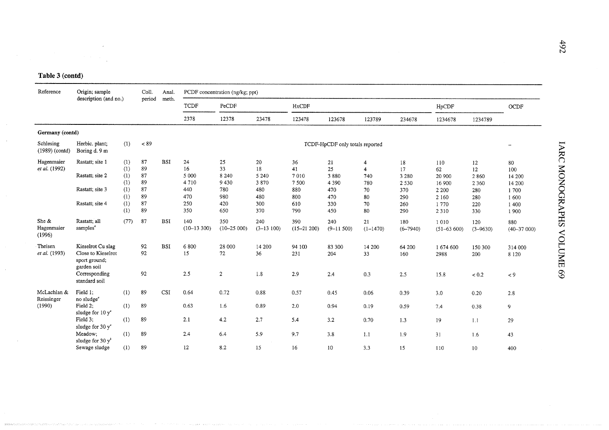| Reference                     | Origin; sample                                                                                            |                          | Coll.                | Anal.      |                             | PCDF concentration (ng/kg; ppt) |                             |                          |                                 |                                                |                                |                                       |                             |                                 |
|-------------------------------|-----------------------------------------------------------------------------------------------------------|--------------------------|----------------------|------------|-----------------------------|---------------------------------|-----------------------------|--------------------------|---------------------------------|------------------------------------------------|--------------------------------|---------------------------------------|-----------------------------|---------------------------------|
|                               | description (and no.)                                                                                     |                          | period               | meth.      | TCDF                        | PeCDF                           |                             | <b>HxCDF</b>             |                                 |                                                |                                | HpCDF                                 |                             | OCDF                            |
|                               |                                                                                                           |                          |                      |            | 2378                        | 12378                           | 23478                       | 123478                   | 123678                          | 123789                                         | 234678                         | 1234678                               | 1234789                     |                                 |
| Germany (contd)               |                                                                                                           |                          |                      |            |                             |                                 |                             |                          |                                 |                                                |                                |                                       |                             |                                 |
| Schlesing<br>$(1989)$ (contd) | Herbic. plant;<br>Boring d. 9 m                                                                           | (1)                      | $< 89$               |            |                             |                                 |                             |                          | TCDF-HpCDF only totals reported |                                                |                                |                                       |                             | $\overline{\phantom{0}}$        |
| Hagenmaier<br>et al. (1992)   | Rastatt; site 1<br>Rastatt; site 2                                                                        | (1)<br>(1)<br>(1)<br>(1) | 87<br>89<br>87<br>89 | <b>BSI</b> | 24<br>16<br>5 0 0 0<br>4710 | 25<br>33<br>8 2 4 0<br>9430     | 20<br>18<br>5 2 4 0<br>3870 | 36<br>41<br>7010<br>7500 | 21<br>25<br>3880<br>4 3 9 0     | $\overline{4}$<br>$\overline{4}$<br>740<br>780 | 18<br>17<br>3 2 8 0<br>2 5 3 0 | 110<br>62<br>20 900<br>16 900         | 12<br>12<br>2860<br>2 3 6 0 | 80<br>100<br>14 200<br>14 200   |
|                               | Rastatt; site 3<br>Rastatt; site 4                                                                        | (1)<br>(1)<br>(1)<br>(1) | 87<br>89<br>87<br>89 |            | 440<br>470<br>250<br>350    | 780<br>980<br>420<br>650        | 480<br>480<br>300<br>370    | 880<br>800<br>610<br>790 | 470<br>470<br>330<br>450        | 70<br>80<br>70<br>80                           | 370<br>290<br>260<br>290       | 2 2 0 0<br>2 1 6 0<br>1770<br>2 3 1 0 | 280<br>280<br>220<br>330    | 1700<br>1600<br>1 4 0 0<br>1900 |
| She &<br>Hagenmaier<br>(1996) | Rastatt; all<br>samples <sup>4</sup>                                                                      | (77)                     | 87                   | <b>BSI</b> | 140<br>$(10-13300)$         | 350<br>$(10 - 25000)$           | 240<br>$(3-13100)$          | 390<br>$(15 - 21200)$    | 240<br>$(9 - 11500)$            | 21<br>$(1 - 1470)$                             | 180<br>$(6 - 7940)$            | 1010<br>$(51 - 63600)$                | 120<br>$(3 - 9630)$         | 880<br>$(40 - 37000)$           |
| Theisen<br>et al. (1993)      | Kieselrot Cu slag<br>Close to Kieselrot<br>sport ground;<br>garden soil<br>Corresponding<br>standard soil |                          | 92<br>92<br>92       | <b>BSI</b> | 6800<br>15<br>2.5           | 28 000<br>72<br>$\overline{2}$  | 14 200<br>36<br>1.8         | 94 100<br>231<br>2.9     | 83 300<br>204<br>2.4            | 14 200<br>33<br>0.3                            | 64 200<br>160<br>2.5           | 1 674 600<br>2988<br>15.8             | 150 300<br>200<br>< 0.2     | 314 000<br>8 1 2 0<br>$< 9$     |
| McLachlan &<br>Reissinger     | Field 1;<br>no sludge <sup>®</sup>                                                                        | (1)                      | 89                   | <b>CSI</b> | 0.64                        | 0.72                            | 0.88                        | 0.57                     | 0.45                            | 0.06                                           | 0.39                           | 3.0                                   | 0.20                        | 2.8                             |
| (1990)                        | Field 2:<br>sludge for 10 $y^e$                                                                           | (1)                      | 89                   |            | 0.63                        | 1.6                             | 0.89                        | 2.0                      | 0.94                            | 0.19                                           | 0.59                           | 7.4                                   | 0.38                        | 9                               |
|                               | Field 3;<br>sludge for 30 $y^e$                                                                           | (1)                      | 89                   |            | 2.1                         | 4.2                             | 2.7                         | 5.4                      | 3.2                             | 0.70                                           | 1.3                            | 19                                    | 1.1                         | 29                              |
|                               | Meadow;<br>sludge for 30 $y^b$                                                                            | (1)                      | 89                   |            | 2.4                         | 6.4                             | 5.9                         | 9.7                      | 3.8                             | 1.1                                            | 1.9                            | 31                                    | 1.6                         | 43                              |
|                               | Sewage sludge                                                                                             | (1)                      | 89                   |            | 12                          | 8.2                             | 15                          | 16                       | 10                              | 3.3                                            | 15                             | 110                                   | 10                          | 400                             |

~ $\hat{\rm c}$  $\overline{a}$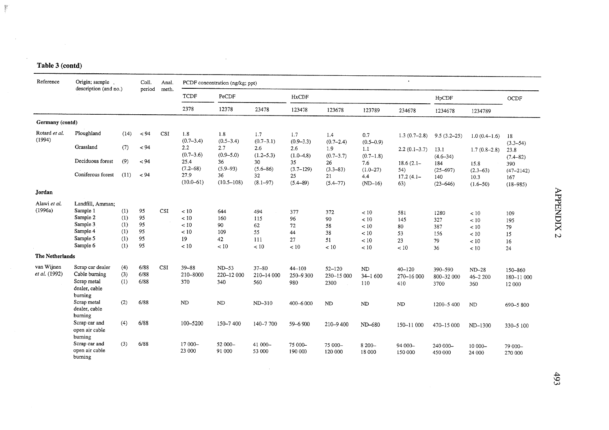$\mathcal{L}_{\text{max}}$  . The  $\mathcal{L}_{\text{max}}$ 

 $\sim$   $\sigma$ 

| Reference                   | Origin; sample<br>description (and no.)                                      |                          | Coll.                | Anal. |                              | PCDF concentration (ng/kg; ppt) |                                |                               |                                  |                                       | $\bullet$                       |                                 |                                       |                                      |
|-----------------------------|------------------------------------------------------------------------------|--------------------------|----------------------|-------|------------------------------|---------------------------------|--------------------------------|-------------------------------|----------------------------------|---------------------------------------|---------------------------------|---------------------------------|---------------------------------------|--------------------------------------|
|                             |                                                                              |                          | period               | meth. | <b>TCDF</b>                  | PeCDF                           |                                | HxCDF                         |                                  |                                       |                                 | HpCDF                           |                                       | OCDF                                 |
|                             |                                                                              |                          |                      |       | 2378                         | 12378                           | 23478                          | 123478                        | 123678                           | 123789                                | 234678                          | 1234678                         | 1234789                               |                                      |
| Germany (contd)             |                                                                              |                          |                      |       |                              |                                 |                                |                               |                                  |                                       |                                 |                                 |                                       |                                      |
| Rotard et al.<br>(1994)     | Ploughland                                                                   | (14)                     | < 94                 | CSI   | 1.8<br>$(0.7-3.4)$           | 1.8<br>$(0.5 - 3.4)$            | 1.7<br>$(0.7-3.1)$             | 1.7<br>$(0.9 - 3.3)$          | 1.4<br>$(0.7 - 2.4)$             | 0.7<br>$(0.5 - 0.9)$                  | $1.3(0.7-2.8)$                  | $9.5(3.2-25)$                   | $1.0(0.4-1.6)$                        | 18<br>$(3.3 - 54)$                   |
|                             | Grassland                                                                    | (7)                      | < 94                 |       | 2.2<br>$(0.7 - 3.6)$         | 2.7<br>$(0.9 - 5.0)$            | 2.6<br>$(1.2 - 5.3)$           | 2.6<br>$(1.0-4.8)$            | 1.9<br>$(0.7 - 3.7)$             | 1.1<br>$(0.7-1.8)$                    | $2.2(0.1-3.7)$                  | 13.1<br>$(4.6 - 34)$            | $1.7(0.8-2.8)$                        | 23.8<br>$(7.4 - 82)$                 |
|                             | Deciduous forest                                                             | (9)                      | < 94                 |       | 25,4<br>$(7.2 - 68)$         | 36<br>$(5.9 - 93)$              | 30<br>$(5.6 - 86)$             | 35<br>$(3.7 - 129)$           | 26<br>$(3.3 - 83)$               | 7.6<br>$(1.0 - 27)$                   | $18.6(2.1-$<br>54)              | 184<br>$(25 - 697)$             | 15.8<br>$(2.3 - 63)$                  | 390                                  |
|                             | Coniferous forest                                                            | (11)                     | < 94                 |       | 27.9<br>$(10.0 - 61)$        | 36<br>$(10.5 - 108)$            | 32<br>$(8.1 - 97)$             | 25<br>$(5.4 - 89)$            | 21<br>$(5.4 - 77)$               | 4.4<br>$(ND-16)$                      | $17.2(4.1 -$<br>63)             | 140<br>$(23 - 646)$             | 10.3<br>$(1.6 - 50)$                  | $(47 - 2142)$<br>167<br>$(18 - 985)$ |
| Jordan                      |                                                                              |                          |                      |       |                              |                                 |                                |                               |                                  |                                       |                                 |                                 |                                       |                                      |
| Alawi et al.<br>(1996a)     | Landfill, Amman:<br>Sample 1                                                 | (1)                      | 95                   | CSI   | $<10$                        | 644                             |                                |                               |                                  |                                       |                                 |                                 |                                       |                                      |
|                             | Sample 2<br>Sample 3<br>Sample 4<br>Sample 5                                 | (1)<br>(1)<br>(1)<br>(1) | 95<br>95<br>95<br>95 |       | < 10<br>< 10<br>< 10<br>19   | 160<br>90<br>109<br>42          | 494<br>115<br>62<br>55<br>111  | 377<br>96<br>72<br>44<br>27   | 372<br>90<br>58<br>38<br>51      | < 10<br>< 10<br>$<10$<br>< 10<br>< 10 | 581<br>145<br>80<br>53<br>23    | 1280<br>327<br>387<br>156<br>79 | < 10<br>$<10$<br>< 10<br>< 10<br>< 10 | 109<br>195<br>79<br>15<br>16         |
| The Netherlands             | Sample 6                                                                     | (1)                      | 95                   |       | $<10$                        | $<10$                           | $<10$                          | < 10                          | < 10                             | $<10$                                 | < 10                            | 36                              | < 10                                  | 24                                   |
|                             |                                                                              |                          |                      |       |                              |                                 |                                |                               |                                  |                                       |                                 |                                 |                                       |                                      |
| van Wijnen<br>et al. (1992) | Scrap car dealer<br>Cable burning<br>Scrap metal<br>dealer, cable<br>burning | (4)<br>(3)<br>(1)        | 6/88<br>6/88<br>6/88 | CSI   | $39 - 88$<br>210-8000<br>370 | $ND-53$<br>220-12 000<br>340    | $37 - 80$<br>210-14 000<br>560 | $44 - 100$<br>250-9300<br>980 | $52 - 120$<br>230-15 000<br>2300 | ND<br>$34 - 1600$<br>110              | $40 - 120$<br>270-16 000<br>410 | 390-590<br>800-32 000<br>3700   | $ND-28$<br>$46 - 2200$<br>360         | 150-860<br>180-11 000<br>12 000      |
|                             | Scrap metal<br>dealer, cable<br>burning                                      | (2)                      | 6/88                 |       | <b>ND</b>                    | $\rm ND$                        | ND-310                         | 400-6 000                     | ND                               | ND                                    | ND                              | 1200-5400                       | ND                                    | 690-5800                             |
|                             | Scrap car and<br>open air cable<br>burning                                   | (4)                      | 6/88                 |       | 100-5200                     | 150-7400                        | $140 - 7700$                   | 59-6 900                      | 210-9400                         | ND-680                                | 150-11 000                      | 470-15 000                      | ND-1300                               | 330-5 100                            |
|                             | Scrap car and<br>open air cable<br>burning                                   | (3)                      | 6/88                 |       | 17 000-<br>23 000            | 52 000-<br>91 000               | 41 000-<br>53 000              | 75 000-<br>190 000            | 75 000-<br>120 000               | 8 2 0 0 -<br>18 000                   | 94 000-<br>150 000              | 240 000-<br>450 000             | 10 000-<br>24 000                     | 79 000-<br>270 000                   |

 $\sim 10$ 

 $\mathcal{A}^{\mathcal{A}}$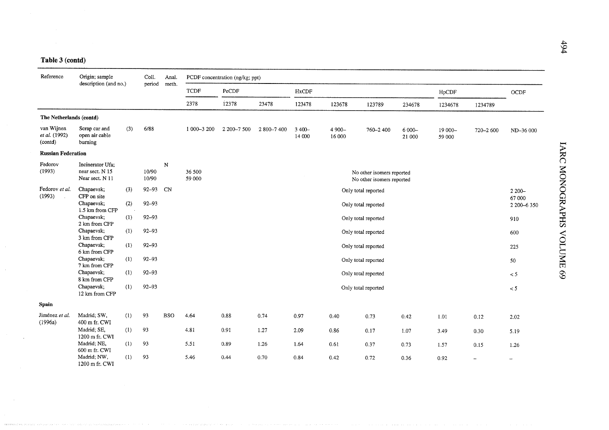| Reference                                                                                                                                   | Origin; sample                             |     | Coll.          | Anal.      |                  | PCDF concentration (ng/kg; ppt) |           |                  |                    |                                                        |                    |                   |           |                          |
|---------------------------------------------------------------------------------------------------------------------------------------------|--------------------------------------------|-----|----------------|------------|------------------|---------------------------------|-----------|------------------|--------------------|--------------------------------------------------------|--------------------|-------------------|-----------|--------------------------|
|                                                                                                                                             | description (and no.)                      |     | period         | meth.      | TCDF             | PeCDF                           |           | HxCDF            |                    |                                                        |                    | HpCDF             |           | $\rm OCDF$               |
|                                                                                                                                             |                                            |     |                |            | 2378             | 12378                           | 23478     | 123478           | 123678             | 123789                                                 | 234678             | 1234678           | 1234789   |                          |
| The Netherlands (contd)                                                                                                                     |                                            |     |                |            |                  |                                 |           |                  |                    |                                                        |                    |                   |           |                          |
| van Wijnen<br>et al. (1992)<br>(contd)                                                                                                      | Scrap car and<br>open air cable<br>burning | (3) | 6/88           |            | 1 000 - 3 200    | 2 200-7 500                     | 2800-7400 | 3 400-<br>14 000 | $4900 -$<br>16 000 | 760-2400                                               | $6000 -$<br>21 000 | 19 000-<br>59 000 | 720-2 600 | ND-36 000                |
| <b>Russian Federation</b>                                                                                                                   |                                            |     |                |            |                  |                                 |           |                  |                    |                                                        |                    |                   |           |                          |
| Fedorov<br>Incinerator Ufa;<br>(1993)<br>near sect. N 15<br>Near sect. N 11<br>Fedorov et al.<br>Chapaevsk;<br>(3)<br>(1993)<br>CFP on site |                                            |     | 10/90<br>10/90 | ${\bf N}$  | 36 500<br>59 000 |                                 |           |                  |                    | No other isomers reported<br>No other isomers reported |                    |                   |           |                          |
|                                                                                                                                             |                                            |     | $92 - 93$      | CN         |                  |                                 |           |                  |                    | Only total reported                                    |                    |                   |           | $2200 -$<br>67 000       |
|                                                                                                                                             | Chapaevsk;<br>1.5 km from CFP              | (2) | $92 - 93$      |            |                  |                                 |           |                  |                    | Only total reported                                    |                    |                   |           | 2 200-6 350              |
|                                                                                                                                             | Chapaevsk;<br>2 km from CFP                | (1) | $92 - 93$      |            |                  |                                 |           |                  |                    | Only total reported                                    |                    |                   |           | 910                      |
|                                                                                                                                             | Chapaevsk;<br>3 km from CFP                | (1) | $92 - 93$      |            |                  |                                 |           |                  |                    | Only total reported                                    |                    |                   |           | 600                      |
|                                                                                                                                             | Chapaevsk;<br>6 km from CFP                | (1) | $92 - 93$      |            |                  |                                 |           |                  |                    | Only total reported                                    |                    |                   |           | 225                      |
|                                                                                                                                             | Chapaevsk;<br>7 km from CFP                | (1) | $92 - 93$      |            |                  |                                 |           |                  |                    | Only total reported                                    |                    |                   |           | 50                       |
|                                                                                                                                             | Chapaevsk;<br>8 km from CFP                | (1) | $92 - 93$      |            |                  |                                 |           |                  |                    | Only total reported                                    |                    |                   |           | < 5                      |
|                                                                                                                                             | Chapaevsk;<br>12 km from CFP               | (1) | $92 - 93$      |            |                  |                                 |           |                  |                    | Only total reported                                    |                    |                   |           | $< 5\,$                  |
| <b>Spain</b>                                                                                                                                |                                            |     |                |            |                  |                                 |           |                  |                    |                                                        |                    |                   |           |                          |
| Jiménez et al.<br>(1996a)                                                                                                                   | Madrid; SW,<br>400 m fr. CWI               | (1) | 93             | <b>BSO</b> | 4.64             | 0.88                            | 0.74      | 0.97             | 0.40               | 0.73                                                   | 0.42               | 1.01              | 0.12      | 2.02                     |
|                                                                                                                                             | Madrid; SE,<br>1200 m fr. CWI              | (1) | 93             |            | 4.81             | 0.91                            | 1.27      | 2.09             | 0.86               | 0.17                                                   | 1.07               | 3.49              | 0.30      | 5.19                     |
|                                                                                                                                             | Madrid; NE,<br>600 m fr. CWI               | (1) | 93             |            | 5.51             | 0.89                            | 1.26      | 1.64             | 0.61               | 0.37                                                   | 0.73               | 1.57              | 0.15      | 1.26                     |
|                                                                                                                                             | Madrid; NW,<br>1200 m fr. CWI              | (1) | 93             |            | 5.46             | 0.44                            | 0.70      | 0.84             | 0.42               | 0.72                                                   | 0.36               | 0.92              |           | $\overline{\phantom{a}}$ |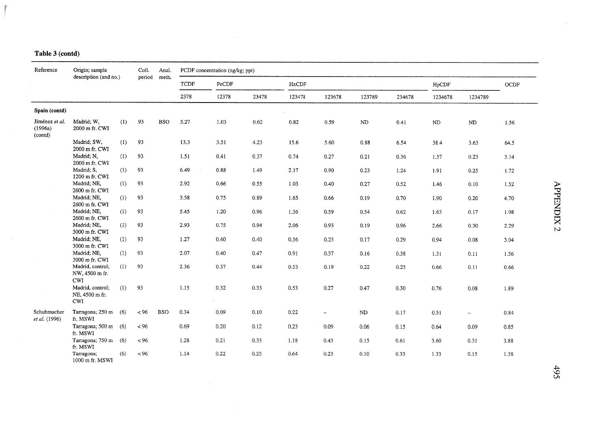ý

| Reference                            | Origin; sample                                   |     | Coll.  | Anal.      |             | PCDF concentration (ng/kg; ppt) |       |        |                          |            |        |          |                          |             |  |
|--------------------------------------|--------------------------------------------------|-----|--------|------------|-------------|---------------------------------|-------|--------|--------------------------|------------|--------|----------|--------------------------|-------------|--|
|                                      | description (and no.)                            |     | period | meth.      | <b>TCDF</b> | PeCDF                           |       | HxCDF  |                          |            |        | HpCDF    |                          | <b>OCDF</b> |  |
|                                      |                                                  |     |        |            | 2378        | 12378                           | 23478 | 123478 | 123678                   | 123789     | 234678 | 1234678  | 1234789                  |             |  |
| Spain (contd)                        |                                                  |     |        |            |             |                                 |       |        |                          |            |        |          |                          |             |  |
| Jiménez et al.<br>(1996a)<br>(contd) | Madrid; W.<br>2000 m fr. CWI                     | (1) | 93     | <b>BSO</b> | 5.27        | 1.03                            | 0.62  | 0.82   | 0.59                     | $\rm ND$   | 0.41   | $\rm ND$ | ND                       | 1.56        |  |
|                                      | Madrid; SW,<br>2000 m fr. CWI                    | (1) | 93     |            | 13.3        | 3.51                            | 4.23  | 15.6   | 5.60                     | 0.88       | 6.54   | 38.4     | 3.63                     | 64.5        |  |
|                                      | Madrid; N.<br>2000 m fr. CWI                     | (1) | 93     |            | 1.51        | 0.41                            | 0.37  | 0.74   | 0.27                     | 0.21       | 0.36   | 1.57     | 0.23                     | 3.14        |  |
|                                      | Madrid; S,<br>1200 m fr. CWI                     | (1) | 93     |            | 6.49        | 0.88                            | 1.49  | 2.17   | 0.90                     | 0.23       | 1.24   | 1.91     | 0.25                     | 1.72        |  |
|                                      | Madrid; NE,<br>2600 m fr. CWI                    | (1) | 93     |            | 2.92        | 0.66                            | 0.55  | 1.03   | 0.40                     | 0.27       | 0.52   | 1.46     | 0.10                     | 1.52        |  |
|                                      | Madrid; NE,<br>2600 m fr. CWI                    | (1) | 93     |            | 3.58        | 0.75                            | 0.89  | 1.65   | 0.66                     | 0.19       | 0.70   | 1.90     | 0.20                     | 4.70        |  |
|                                      | Madrid; NE,<br>2600 m fr. CWI                    | (1) | 93     |            | 5.45        | 1.20                            | 0.96  | 1.36   | 0.59                     | 0.54       | 0.62   | 1.63     | 0.17                     | 1.98        |  |
|                                      | Madrid; NE,<br>3000 m fr. CWI                    | (1) | 93     |            | 2.93        | 0.75                            | 0.94  | 2.06   | 0.93                     | 0.19       | 0.96   | 2.66     | 0.30                     | 2.29        |  |
|                                      | Madrid; NE,<br>3000 m fr. CWI                    | (1) | 93     |            | 1.27        | 0.40                            | 0.40  | 0.56   | 0.25                     | 0.17       | 0.29   | 0.94     | 0.08                     | 3.04        |  |
|                                      | Madrid; NE,<br>3000 m fr. CWI                    | (1) | 93     |            | 2.07        | 0.40                            | 0.47  | 0.91   | 0.37                     | 0.16       | 0.38   | 1.31     | 0.11                     | 1.56        |  |
|                                      | Madrid, control;<br>NW, 4500 m fr.<br><b>CWI</b> | (1) | 93     |            | 2.36        | 0.37                            | 0.44  | 0.53   | 0.19                     | 0.22       | 0.25   | 0.66     | 0.11                     | 0.66        |  |
|                                      | Madrid, control;<br>NE, 4500 m fr.<br>CWI        | (1) | 93     |            | 1.15        | 0.32                            | 0.33  | 0.53   | 0.27                     | 0.47       | 0.30   | 0.76     | 0.08                     | 1.89        |  |
| Schuhmacher<br>et al. (1996)         | Tarragona; 250 m<br>fr. MSWI                     | (6) | < 96   | <b>BSO</b> | 0.34        | 0.09                            | 0.10  | 0.22   | $\overline{\phantom{a}}$ | ${\rm ND}$ | 0.17   | 0.51     | $\overline{\phantom{0}}$ | 0.84        |  |
|                                      | Tarragona; 500 m<br>fr. MSWI                     | (6) | ~< 96  |            | 0.69        | 0.20                            | 0.12  | 0.23   | 0.09                     | 0.06       | 0.15   | 0.64     | 0.09                     | 0.85        |  |
|                                      | Tarragona; 750 m<br>fr. MSWI                     | (6) | ~< 96  |            | 1.28        | 0.21                            | 0.33  | 1.18   | 0.43                     | 0.15       | 0.61   | 3.60     | 0.31                     | 3.88        |  |
|                                      | Tarragona;<br>1000 m fr. MSWI                    | (6) | ~100   |            | 1.14        | 0.22                            | 0.25  | 0.64   | 0.23                     | 0.10       | 0.33   | 1.33     | 0.15                     | 1.38        |  |

 $\mathcal{L}_{\mathcal{L}}$ 

 $\sim 10^7$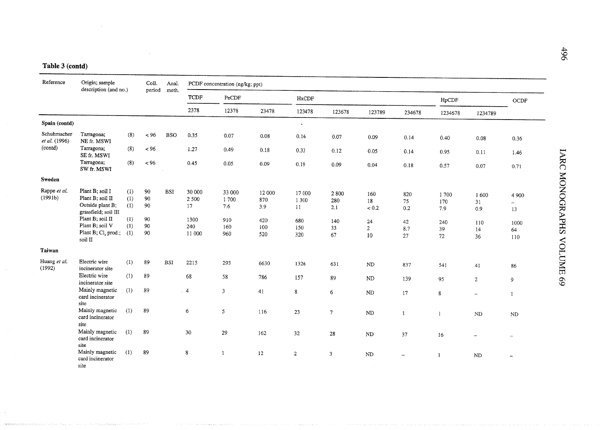| Reference                    | Origin; sample<br>description (and no.)                                                                                |                                 | Coll.                              | Anal.      |                                      | PCDF concentration (ng/kg; ppt) |                             |                              |                           |                          |                          |                           |                           |                                                   |
|------------------------------|------------------------------------------------------------------------------------------------------------------------|---------------------------------|------------------------------------|------------|--------------------------------------|---------------------------------|-----------------------------|------------------------------|---------------------------|--------------------------|--------------------------|---------------------------|---------------------------|---------------------------------------------------|
|                              |                                                                                                                        |                                 | period                             | meth.      | $\mbox{\sc TCDF}$                    | PeCDF                           |                             | HxCDF                        |                           |                          |                          | HpCDF                     |                           | $\rm OCDF$                                        |
|                              |                                                                                                                        |                                 |                                    |            | 2378                                 | 12378                           | 23478                       | 123478                       | 123678                    | 123789                   | 234678                   | 1234678                   | 1234789                   |                                                   |
| Spain (contd)                |                                                                                                                        |                                 |                                    |            |                                      |                                 |                             | $\mathbf{v}$                 |                           |                          |                          |                           |                           |                                                   |
| Schuhmacher<br>et al. (1996) | Tarragona;<br>NE fr. MSWI                                                                                              | (8)                             | ~15                                | <b>BSO</b> | 0.35                                 | 0.07                            | 0.08                        | 0.16                         | 0.07                      | 0.09                     | 0.14                     | 0.40                      | 0.08                      | 0.36                                              |
| (contd)                      | Tarragona;<br>SE fr. MSWI                                                                                              | (8)                             | ~< 96                              |            | 1.27                                 | 0.49                            | 0.18                        | 0.33                         | 0.12                      | 0.05                     | 0.14                     | 0.95                      | 0.11                      | 1.46                                              |
|                              | Tarragona;<br>SW fr. MSWI                                                                                              | (8)                             | $<96\,$                            |            | 0.45                                 | 0.05                            | 0.09                        | 0.19                         | 0.09                      | 0.04                     | $0.18\,$                 | 0.57                      | 0.07                      | 0.71                                              |
| Sweden                       | $\sim$                                                                                                                 |                                 |                                    |            |                                      |                                 |                             |                              |                           |                          |                          |                           |                           |                                                   |
| Rappe et al.<br>(1991b)      | Plant B; soil I<br>Plant B; soil II<br>Outside plant B;<br>grassfield; soil III<br>Plant B; soil II<br>Plant B: soil V | (1)<br>(1)<br>(1)<br>(1)<br>(1) | $90\,$<br>$90\,$<br>90<br>90<br>90 | <b>BSI</b> | 30 000<br>2 500<br>17<br>1300<br>240 | 33 000<br>1700<br>7.6<br>910    | 12 000<br>870<br>3.9<br>420 | 17 000<br>1 300<br>11<br>680 | 2800<br>280<br>2.1<br>140 | 160<br>18<br>< 0.2<br>24 | 820<br>75<br>0.2<br>42   | 1700<br>170<br>7.9<br>240 | 1 600<br>31<br>0.9<br>110 | 4 9 0 0<br>$\overline{\phantom{m}}$<br>13<br>1000 |
|                              | Plant B; Cl, prod.;<br>soil II                                                                                         | (1)                             | 90                                 |            | 11 000                               | 160<br>960                      | 100<br>520                  | 150<br>320                   | 33<br>67                  | $\overline{c}$<br>10     | 8.7<br>27                | 39<br>72                  | 14<br>36                  | 64<br>110                                         |
| Taiwan                       |                                                                                                                        |                                 |                                    |            |                                      |                                 |                             |                              |                           |                          |                          |                           |                           |                                                   |
| Huang et al.<br>(1992)       | Electric wire<br>incinerator site                                                                                      | (1)                             | 89                                 | <b>BSI</b> | 2215                                 | 293                             | 6630                        | 1326                         | 631                       | $\rm ND$                 | 837                      | 541                       | 41                        | 86                                                |
|                              | Electric wire<br>incinerator site                                                                                      | (1)                             | 89                                 |            | 68                                   | 58                              | 786                         | 157                          | 89                        | $\rm ND$                 | 139                      | 95                        | $\overline{c}$            | 9                                                 |
|                              | Mainly magnetic<br>card incinerator<br>site                                                                            | (1)                             | 89                                 |            | .4                                   | 3                               | 41                          | 8                            | 6                         | N <sub>D</sub>           | 17                       | 8                         | $\overline{\phantom{a}}$  | 1                                                 |
|                              | Mainly magnetic<br>card incinerator<br>site                                                                            | (1)                             | 89                                 |            | 6                                    | 5                               | 116                         | 23                           | $\overline{\phantom{a}}$  | $\rm ND$                 | $\mathbf{1}$             | $\mathbf{1}$              | ND                        | ND                                                |
|                              | Mainly magnetic<br>card incinerator<br>site                                                                            | (1)                             | 89                                 |            | $30\,$                               | 29                              | 162                         | 32                           | 28                        | $\rm ND$                 | 37                       | 16                        |                           |                                                   |
|                              | Mainly magnetic<br>card incinerator<br>site                                                                            | (1)                             | 89                                 |            | 8                                    | 1                               | 12                          | $\overline{2}$               | $\mathbf{3}$              | ND                       | $\overline{\phantom{0}}$ | $\mathbf{1}$              | ${\rm ND}$                |                                                   |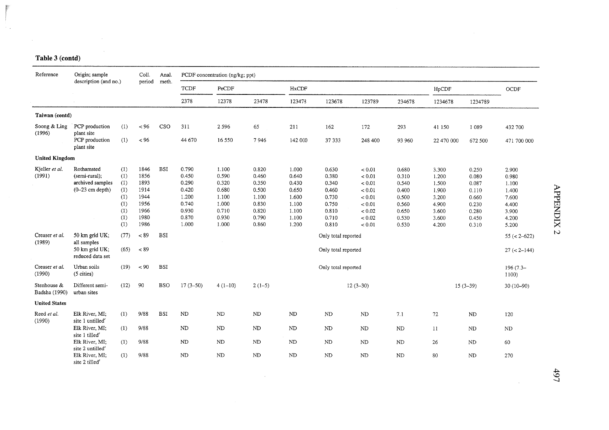| Reference                                                                        | Origin; sample                                                                                                                                                           |                                                                                     | Coll.                                                                                            | Anal.                                  |                                                                               | PCDF concentration (ng/kg; ppt)                                               |                                                                               |                                                                               |                                                                                                                                                    |                                                                                          |                                                                               |                                                                               |                                                                               |                                                                                                                                                      |
|----------------------------------------------------------------------------------|--------------------------------------------------------------------------------------------------------------------------------------------------------------------------|-------------------------------------------------------------------------------------|--------------------------------------------------------------------------------------------------|----------------------------------------|-------------------------------------------------------------------------------|-------------------------------------------------------------------------------|-------------------------------------------------------------------------------|-------------------------------------------------------------------------------|----------------------------------------------------------------------------------------------------------------------------------------------------|------------------------------------------------------------------------------------------|-------------------------------------------------------------------------------|-------------------------------------------------------------------------------|-------------------------------------------------------------------------------|------------------------------------------------------------------------------------------------------------------------------------------------------|
|                                                                                  | description (and no.)                                                                                                                                                    |                                                                                     | period                                                                                           | meth.                                  | <b>TCDF</b>                                                                   | PeCDF                                                                         |                                                                               | HxCDF                                                                         |                                                                                                                                                    |                                                                                          |                                                                               | HpCDF                                                                         |                                                                               | OCDF                                                                                                                                                 |
|                                                                                  |                                                                                                                                                                          |                                                                                     |                                                                                                  |                                        | 2378                                                                          | 12378                                                                         | 23478                                                                         | 123478                                                                        | 123678                                                                                                                                             | 123789                                                                                   | 234678                                                                        | 1234678                                                                       | 1234789                                                                       |                                                                                                                                                      |
| Taiwan (contd)                                                                   |                                                                                                                                                                          |                                                                                     |                                                                                                  |                                        |                                                                               |                                                                               |                                                                               |                                                                               |                                                                                                                                                    |                                                                                          |                                                                               |                                                                               |                                                                               |                                                                                                                                                      |
| Soong & Ling<br>(1996)                                                           | PCP production<br>plant site                                                                                                                                             | (1)                                                                                 | ~< 96                                                                                            | CSO                                    | 311                                                                           | 2 5 9 6                                                                       | 65                                                                            | 211                                                                           | 162                                                                                                                                                | 172                                                                                      | 293                                                                           | 41 150                                                                        | 1 0 8 9                                                                       | 432 700                                                                                                                                              |
|                                                                                  | PCP production<br>plant site                                                                                                                                             | (1)                                                                                 | $< 96$                                                                                           |                                        | 44 670                                                                        | 16 550                                                                        | 7946                                                                          | 142 000                                                                       | 37 333                                                                                                                                             | 248 400                                                                                  | 93 960                                                                        | 22 470 000                                                                    | 672 500                                                                       | 471 700 000                                                                                                                                          |
| <b>United Kingdom</b>                                                            |                                                                                                                                                                          |                                                                                     |                                                                                                  |                                        |                                                                               |                                                                               |                                                                               |                                                                               |                                                                                                                                                    |                                                                                          |                                                                               |                                                                               |                                                                               |                                                                                                                                                      |
| Kjeller et al.<br>(1991)<br>Creaser et al.<br>(1989)<br>Creaser et al.<br>(1990) | Rothamsted<br>(semi-rural);<br>archived samples<br>$(0-23$ cm depth)<br>50 km grid UK;<br>all samples<br>50 km grid UK;<br>reduced data set<br>Urban soils<br>(5 cities) | (1)<br>(1)<br>(1)<br>(1)<br>(1)<br>(1)<br>(1)<br>(1)<br>(1)<br>(77)<br>(65)<br>(19) | 1846<br>1856<br>1893<br>1914<br>1944<br>1956<br>1966<br>1980<br>1986<br>~< 89<br>~< 89<br>$< 90$ | <b>BSI</b><br><b>BSI</b><br><b>BSI</b> | 0.790<br>0.450<br>0.290<br>0.420<br>1.200<br>0.740<br>0.930<br>0.870<br>1.000 | 1.100<br>0.590<br>0.320<br>0.680<br>1.100<br>1.000<br>0.710<br>0.930<br>1.000 | 0.820<br>0.460<br>0.350<br>0.500<br>1.100<br>0.830<br>0.820<br>0.790<br>0.860 | 1.000<br>0.640<br>0.430<br>0.650<br>1.600<br>1.100<br>1.100<br>1.100<br>1.200 | 0.630<br>0.380<br>0.340<br>0.460<br>0.730<br>0.750<br>0.810<br>0.710<br>0.810<br>Only total reported<br>Only total reported<br>Only total reported | < 0.01<br>< 0.01<br>< 0.01<br>< 0.01<br>< 0.01<br>< 0.01<br>< 0.02<br>< 0.02<br>$< 0.01$ | 0.680<br>0.310<br>0.540<br>0.400<br>0.500<br>0.560<br>0.650<br>0.530<br>0.530 | 3.300<br>1.200<br>1.500<br>1.900<br>3.200<br>4.900<br>3.600<br>3.600<br>4.200 | 0.250<br>0.080<br>0.087<br>0.110<br>0.660<br>0.230<br>0.280<br>0.450<br>0.310 | 2.900<br>0.980<br>1.100<br>1.400<br>7.600<br>4.400<br>3.900<br>4.200<br>5.200<br>$55 (\leftarrow 2-622)$<br>$27 (< 2 - 144)$<br>$196(7.3 -$<br>1100) |
| Stenhouse &<br>Badsha (1990)                                                     | Different semi-<br>urban sites                                                                                                                                           | (12)                                                                                | 90                                                                                               | <b>BSO</b>                             | $17(3-50)$                                                                    | $4(1-10)$                                                                     | $2(1-5)$                                                                      |                                                                               |                                                                                                                                                    | $12(3-30)$                                                                               |                                                                               |                                                                               | $15(3-39)$                                                                    | $30(10-90)$                                                                                                                                          |
| <b>United States</b>                                                             |                                                                                                                                                                          |                                                                                     |                                                                                                  |                                        |                                                                               |                                                                               |                                                                               |                                                                               |                                                                                                                                                    |                                                                                          |                                                                               |                                                                               |                                                                               |                                                                                                                                                      |
| Reed et al.<br>(1990)                                                            | Elk River, MI;<br>site 1 untilled <sup>e</sup>                                                                                                                           | (1)                                                                                 | 9/88                                                                                             | <b>BSI</b>                             | N <sub>D</sub>                                                                | ND                                                                            | $\rm ND$                                                                      | ND                                                                            | N <sub>D</sub>                                                                                                                                     | ND                                                                                       | 7.1                                                                           | 72                                                                            | <b>ND</b>                                                                     | 120                                                                                                                                                  |
|                                                                                  | Elk River, MI;<br>site 1 tilled'                                                                                                                                         | (1)                                                                                 | 9/88                                                                                             |                                        | ${\rm ND}$                                                                    | ND                                                                            | ${\rm ND}$                                                                    | ND                                                                            | $\rm ND$                                                                                                                                           | $\rm ND$                                                                                 | $\rm ND$                                                                      | 11                                                                            | $\rm ND$                                                                      | ${\rm ND}$                                                                                                                                           |
|                                                                                  | Elk River, MI;<br>site 2 untilled <sup>c</sup>                                                                                                                           | (1)                                                                                 | 9/88                                                                                             |                                        | ND                                                                            | ND                                                                            | <b>ND</b>                                                                     | <b>ND</b>                                                                     | <b>ND</b>                                                                                                                                          | $\rm ND$                                                                                 | ${\rm ND}$                                                                    | 26                                                                            | ${\rm ND}$                                                                    | 60                                                                                                                                                   |
|                                                                                  | Elk River, MI;<br>site 2 tilled <sup>e</sup>                                                                                                                             | (1)                                                                                 | 9/88                                                                                             |                                        | ND                                                                            | ND                                                                            | ND                                                                            | ND                                                                            | ND                                                                                                                                                 | $\rm ND$                                                                                 | $\rm ND$                                                                      | 80                                                                            | ${\rm ND}$                                                                    | 270                                                                                                                                                  |

 $\sim$ 

## Table 3 (contd)

Į.

 $\mathbb{R}^2$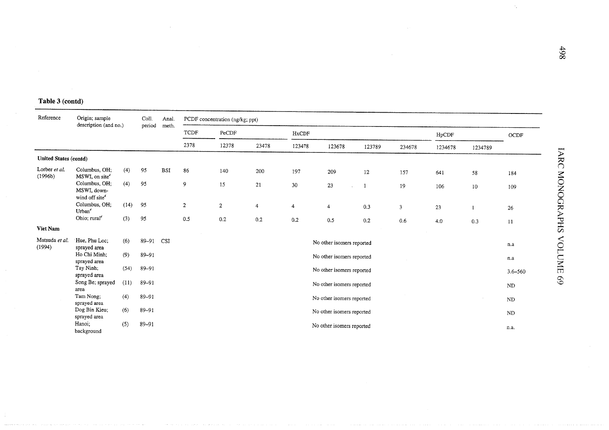| Reference                    | Origin; sample<br>description (and no.)                    |      | Coll.<br>period | Anal.<br>meth. |                  | PCDF concentration (ng/kg; ppt) |                |                |                           |        |                         |         |         |             |
|------------------------------|------------------------------------------------------------|------|-----------------|----------------|------------------|---------------------------------|----------------|----------------|---------------------------|--------|-------------------------|---------|---------|-------------|
|                              |                                                            |      |                 |                | <b>TCDF</b>      | PeCDF                           |                | HxCDF          |                           |        |                         | HpCDF   |         | OCDF        |
|                              |                                                            |      |                 |                | 2378             | 12378                           | 23478          | 123478         | 123678                    | 123789 | 234678                  | 1234678 | 1234789 |             |
| <b>United States (contd)</b> |                                                            |      |                 |                |                  |                                 |                |                |                           |        |                         |         |         |             |
| Lorber et al.<br>(1996b)     | Columbus, OH;<br>MSWI, on site <sup>d</sup>                | (4)  | 95              | <b>BSI</b>     | 86               | 140                             | 200            | 197            | 209                       | 12     | 157                     | 641     | 58      | 184         |
|                              | Columbus, OH;<br>MSWI, down-<br>wind off site <sup>d</sup> | (4)  | 95              |                | 9                | 15                              | 21             | 30             | 23                        |        | 19                      | 106     | 10      | 109         |
|                              | Columbus, OH;<br>Urban <sup>d</sup>                        | (14) | 95              |                | $\boldsymbol{2}$ | $\overline{c}$                  | $\overline{4}$ | $\overline{4}$ | $\overline{4}$            | 0.3    | $\overline{\mathbf{3}}$ | 23      |         | 26          |
|                              | Ohio; rural <sup>d</sup>                                   | (3)  | 95              |                | 0.5              | 0.2                             | 0.2            | 0.2            | 0.5                       | 0.2    | 0.6                     | 4.0     | 0.3     | 11          |
| Viet Nam                     |                                                            |      |                 |                |                  |                                 |                |                |                           |        |                         |         |         |             |
| Matsuda et al.<br>(1994)     | Hue, Phu Loc;<br>sprayed area                              | (6)  | 89-91           | CSI            |                  |                                 |                |                | No other isomers reported |        |                         |         |         | n.a         |
|                              | Ho Chi Minh:<br>sprayed area                               | (9)  | 89-91           |                |                  |                                 |                |                | No other isomers reported |        |                         |         |         | n.a         |
|                              | Tay Ninh;<br>sprayed area                                  | (54) | 89-91           |                |                  |                                 |                |                | No other isomers reported |        |                         |         |         | $3.6 - 560$ |
|                              | Song Be; sprayed<br>area                                   | (11) | 89-91           |                |                  |                                 |                |                | No other isomers reported |        |                         |         |         | <b>ND</b>   |
|                              | Tam Nong;<br>sprayed area                                  | (4)  | 89-91           |                |                  |                                 |                |                | No other isomers reported |        |                         |         |         | ND          |
|                              | Dog Bin Kieu;<br>sprayed area                              | (6)  | 89-91           |                |                  |                                 |                |                | No other isomers reported |        |                         |         |         | ND          |
|                              | Hanoi;<br>background                                       | (5)  | 89-91           |                |                  |                                 |                |                | No other isomers reported |        |                         |         |         | n.a.        |

 $\mathcal{A}_{\mu}$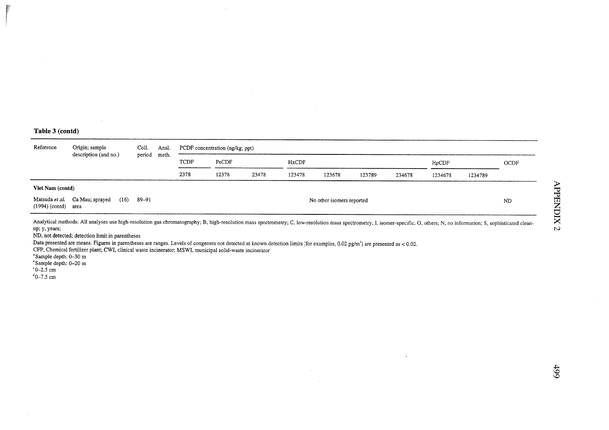$\sim$ 

| Reference        | Origin; sample<br>description (and no.)                                                                                                                                                                                                                                                                                                                                                                                                                                                                                                                                                   | Coll.  | Anal. |      | PCDF concentration (ng/kg; ppt) |       |        |        |        |        |         |         |      |  |  |
|------------------|-------------------------------------------------------------------------------------------------------------------------------------------------------------------------------------------------------------------------------------------------------------------------------------------------------------------------------------------------------------------------------------------------------------------------------------------------------------------------------------------------------------------------------------------------------------------------------------------|--------|-------|------|---------------------------------|-------|--------|--------|--------|--------|---------|---------|------|--|--|
|                  |                                                                                                                                                                                                                                                                                                                                                                                                                                                                                                                                                                                           | period | meth. | TCDF | PeCDF                           |       | HxCDF  |        |        |        | HpCDF   |         | OCDF |  |  |
|                  |                                                                                                                                                                                                                                                                                                                                                                                                                                                                                                                                                                                           |        |       | 2378 | 12378                           | 23478 | 123478 | 123678 | 123789 | 234678 | 1234678 | 1234789 |      |  |  |
| Viet Nam (contd) |                                                                                                                                                                                                                                                                                                                                                                                                                                                                                                                                                                                           |        |       |      |                                 |       |        |        |        |        |         |         |      |  |  |
| $(1994)$ (contd) | Matsuda et al. Ca Mau; sprayed<br>(16)<br>area                                                                                                                                                                                                                                                                                                                                                                                                                                                                                                                                            | 89–91  |       |      | No other isomers reported       |       |        |        |        |        |         |         |      |  |  |
| up; y, years;    | Analytical methods: All analyses use high-resolution gas chromatography; B, high-resolution mass spectrometry; C, low-resolution mass spectrometry; I, isomer-specific; O, others; N, no information; S, sophisticated clean-<br>ND, not detected; detection limit in parentheses<br>Data presented are means. Figures in parentheses are ranges. Levels of congeners not detected at known detection limits (for examples, 0.02 pg/m <sup>3</sup> ) are presented as < 0.02.<br>CFP, Chemical fertilizer plant; CWI, clinical waste incinerator; MSWI, municipal solid-waste incinerator |        |       |      |                                 |       |        |        |        |        |         |         |      |  |  |

 $\sim$ 

"Sample depth: 0–30 m<br>"Sample depth: 0–20 m<br>"0–2.5 cm<br>"0–7.5 cm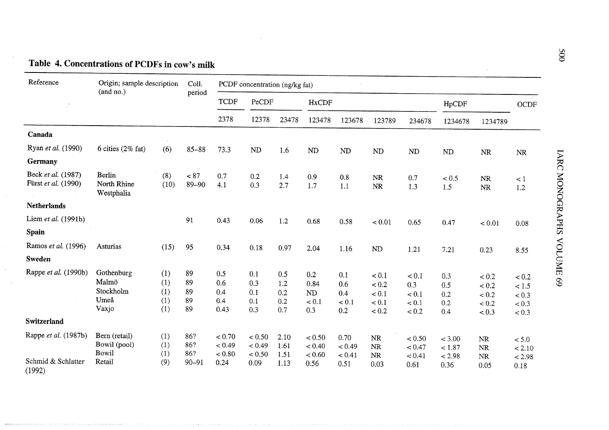| Reference                                            | Origin; sample description<br>(and no.)           |                                 | Coll.                          |                                    | PCDF concentration (ng/kg fat)     |                                 |                                    |                                   |                                             |                                         |                                    |                                             |                                           |
|------------------------------------------------------|---------------------------------------------------|---------------------------------|--------------------------------|------------------------------------|------------------------------------|---------------------------------|------------------------------------|-----------------------------------|---------------------------------------------|-----------------------------------------|------------------------------------|---------------------------------------------|-------------------------------------------|
|                                                      |                                                   |                                 | period                         | <b>TCDF</b>                        | PeCDF                              |                                 | <b>HxCDF</b>                       |                                   |                                             |                                         | HpCDF                              |                                             | OCDF                                      |
|                                                      |                                                   |                                 |                                | 2378                               | 12378                              | 23478                           | 123478                             | 123678                            | 123789                                      | 234678                                  | 1234678                            | 1234789                                     |                                           |
| Canada                                               |                                                   |                                 |                                |                                    |                                    |                                 |                                    |                                   |                                             |                                         |                                    |                                             |                                           |
| Ryan et al. (1990)                                   | 6 cities $(2\% \text{ fat})$                      | (6)                             | $85 - 88$                      | 73.3                               | ND                                 | 1.6                             | ${\rm ND}$                         | <b>ND</b>                         | <b>ND</b>                                   | ND                                      | ND                                 | NR                                          | <b>NR</b>                                 |
| Germany                                              |                                                   |                                 |                                |                                    |                                    |                                 |                                    |                                   |                                             |                                         |                                    |                                             |                                           |
| Beck et al. (1987)<br>Fürst et al. (1990)            | <b>Berlin</b><br>North Rhine<br>Westphalia        | (8)<br>(10)                     | < 87<br>$89 - 90$              | 0.7<br>4.1                         | 0.2<br>0.3                         | 1.4<br>2.7                      | 0.9<br>1.7                         | 0.8<br>1.1                        | NR<br>NR                                    | 0.7<br>1.3                              | < 0.5<br>1.5                       | <b>NR</b><br>$\rm NR$                       | $\leq 1$<br>1.2                           |
| <b>Netherlands</b>                                   |                                                   |                                 |                                |                                    |                                    |                                 |                                    |                                   |                                             |                                         |                                    |                                             |                                           |
| Liem et al. (1991b)                                  |                                                   |                                 | 91                             | 0.43                               | 0.06                               | 1.2                             | 0.68                               | 0.58                              | < 0.01                                      | 0.65                                    | 0.47                               | < 0.01                                      | 0.08                                      |
| Spain                                                |                                                   |                                 |                                |                                    |                                    |                                 |                                    |                                   |                                             |                                         |                                    |                                             |                                           |
| Ramos et al. (1996)                                  | Asturias                                          | (15)                            | 95                             | 0.34                               | 0.18                               | 0.97                            | 2.04                               | 1.16                              | ND                                          | 1.21                                    | 7.21                               | 0.23                                        | 8.55                                      |
| Sweden                                               |                                                   |                                 |                                |                                    |                                    |                                 |                                    |                                   |                                             |                                         |                                    |                                             |                                           |
| Rappe et al. (1990b)                                 | Gothenburg<br>Malmö<br>Stockholm<br>Umeå<br>Vaxjo | (1)<br>(1)<br>(1)<br>(1)<br>(1) | 89<br>89<br>89<br>89<br>89     | 0.5<br>0.6<br>0.4<br>0.4<br>0.43   | 0.1<br>0.3<br>0.1<br>0.1<br>0.3    | 0.5<br>1.2<br>0.2<br>0.2<br>0.7 | 0.2<br>0.84<br>ND<br>< 0.1<br>0.3  | 0.1<br>0.6<br>0.4<br>< 0.1<br>0.2 | < 0.1<br>< 0.2<br>< 0.1<br>$< 0.1$<br>< 0.2 | < 0.1<br>0.3<br>< 0.1<br>< 0.1<br>< 0.2 | 0.3<br>0.5<br>0.2<br>0.2<br>0.4    | < 0.2<br>< 0.2<br>< 0.2<br>$< 0.2$<br>< 0.3 | < 0.2<br>< 1.5<br>< 0.3<br>< 0.3<br>< 0.3 |
| <b>Switzerland</b>                                   |                                                   |                                 |                                |                                    |                                    |                                 |                                    |                                   |                                             |                                         |                                    |                                             |                                           |
| Rappe et al. (1987b)<br>Schmid & Schlatter<br>(1992) | Bern (retail)<br>Bowil (pool)<br>Bowil<br>Retail  | (1)<br>(1)<br>(1)<br>(9)        | 86?<br>86?<br>86?<br>$90 - 91$ | < 0.70<br>< 0.49<br>< 0.80<br>0.24 | < 0.50<br>< 0.49<br>< 0.50<br>0.09 | 2.10<br>1.61<br>1.51<br>1.13    | < 0.50<br>< 0.40<br>< 0.60<br>0.56 | 0.70<br>< 0.49<br>< 0.41<br>0.51  | NR<br><b>NR</b><br><b>NR</b><br>0.03        | < 0.50<br>< 0.47<br>< 0.41<br>0.61      | < 3.00<br>< 1.87<br>< 2.98<br>0.36 | <b>NR</b><br><b>NR</b><br><b>NR</b><br>0.05 | < 5.0<br>< 2.10<br>< 2.98<br>0.18         |

## Table 4. Concentrations of PCDFs in cow's milk

and the state of the continues of the contract of the state of the state of the state of the state of the state of the state of the state of the state of the state of the state of the state of the state of the state of the

.<br>The experimental contract in the experimental contract of the contract of the contract of the contract of the